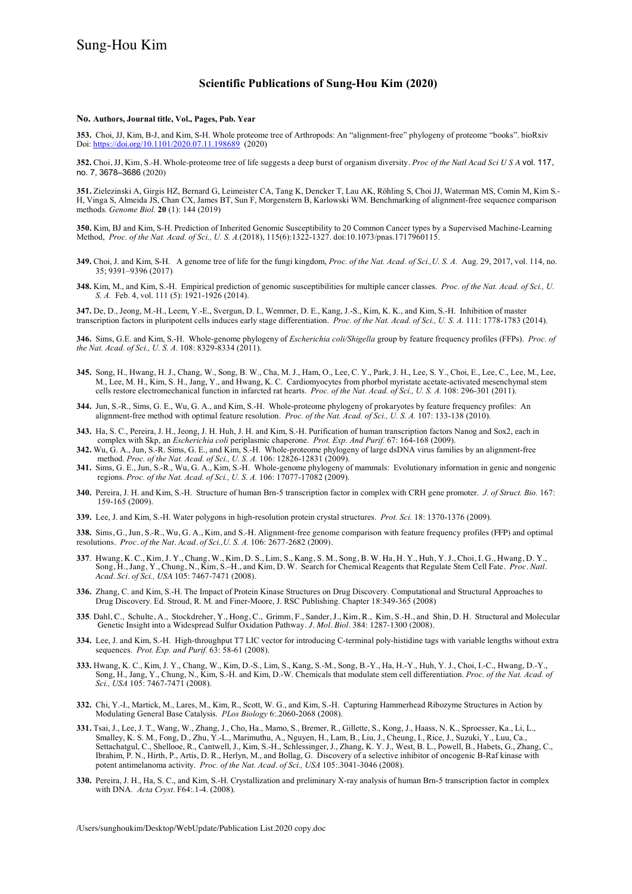#### **Scientific Publications of Sung-Hou Kim (2020)**

#### **No. Authors, Journal title, Vol., Pages, Pub. Year**

**353.** Choi, JJ, Kim, B-J, and Kim, S-H. Whole proteome tree of Arthropods: An "alignment-free" phylogeny of proteome "books". bioRxiv Doi: https://doi.org/10.1101/2020.07.11.198689 (2020)

**352.** Choi, JJ, Kim, S.-H. Whole-proteome tree of life suggests a deep burst of organism diversity. *Proc of the Natl Acad Sci U S A* vol. 117, no. 7, 3678–3686 (2020)

**351.** Zielezinski A, Girgis HZ, Bernard G, Leimeister CA, Tang K, Dencker T, Lau AK, Röhling S, Choi JJ, Waterman MS, Comin M, Kim S.- H, Vinga S, Almeida JS, Chan CX, James BT, Sun F, Morgenstern B, Karlowski WM. Benchmarking of alignment-free sequence comparison methods*. Genome Biol.* **20** (1): 144 (2019)

**350.** Kim, BJ and Kim, S-H. Prediction of Inherited Genomic Susceptibility to 20 Common Cancer types by a Supervised Machine-Learning Method, *Proc. of the Nat. Acad. of Sci., U. S. A.*(2018), 115(6):1322-1327. doi:10.1073/pnas.1717960115.

- **349.** Choi, J. and Kim, S-H. A genome tree of life for the fungi kingdom, *Proc. of the Nat. Acad. of Sci.,U. S. A.* Aug. 29, 2017, vol. 114, no. 35; 9391–9396 (2017)
- **348.** Kim, M., and Kim, S.-H. Empirical prediction of genomic susceptibilities for multiple cancer classes. *Proc. of the Nat. Acad. of Sci., U. S. A.* Feb. 4, vol. 111 (5): 1921-1926 (2014).

**347.** De, D., Jeong, M.-H., Leem, Y.-E., Svergun, D. I., Wemmer, D. E., Kang, J.-S., Kim, K. K., and Kim, S.-H. Inhibition of master transcription factors in pluripotent cells induces early stage differentiation. *Proc. of the Nat. Acad. of Sci., U. S. A.* 111: 1778-1783 (2014).

**346.** Sims, G.E. and Kim, S.-H.Whole-genome phylogeny of *Escherichia coli/Shigella* group by feature frequency profiles (FFPs).*Proc. of the Nat. Acad. of Sci., U. S. A.* 108: 8329-8334 (2011).

- **345.** Song, H., Hwang, H. J., Chang, W., Song, B. W., Cha, M. J., Ham, O., Lee, C. Y., Park, J. H., Lee, S. Y., Choi, E., Lee, C., Lee, M., Lee, M., Lee, M. H., Kim, S. H., Jang, Y., and Hwang, K. C. Cardiomyocytes from phorbol myristate acetate-activated mesenchymal stem cells restore electromechanical function in infarcted rat hearts. *Proc. of the Nat. Acad. of Sci., U. S. A.* 108: 296-301 (2011).
- **344.** Jun, S.-R., Sims, G. E., Wu, G. A., and Kim, S.-H. Whole-proteome phylogeny of prokaryotes by feature frequency profiles: An alignment-free method with optimal feature resolution. *Proc. of the Nat. Acad. of Sci., U. S. A.* 107: 133-138 (2010).
- **343.** Ha, S. C., Pereira, J. H., Jeong, J. H. Huh, J. H. and Kim, S.-H. Purification of human transcription factors Nanog and Sox2, each in complex with Skp, an *Escherichia coli* periplasmic chaperone. *Prot. Exp. And Purif.* 67: 164-168 (2009).
- **342.** Wu, G. A., Jun, S.-R. Sims, G. E., and Kim, S.-H. Whole-proteome phylogeny of large dsDNA virus families by an alignment-free method. *Proc. of the Nat. Acad. of Sci., U. S. A.* 106: 12826-12831 (2009).
- **341.** Sims, G. E., Jun, S.-R., Wu, G. A., Kim, S.-H. Whole-genome phylogeny of mammals: Evolutionary information in genic and nongenic regions. *Proc. of the Nat. Acad. of Sci., U. S. A.* 106: 17077-17082 (2009).
- **340.** Pereira, J. H. and Kim, S.-H. Structure of human Brn-5 transcription factor in complex with CRH gene promoter. *J. of Struct. Bio.* 167: 159-165 (2009).
- **339.** Lee, J. and Kim, S.-H. Water polygons in high-resolution protein crystal structures. *Prot. Sci.* 18: 1370-1376 (2009).
- **338.** Sims, G., Jun, S.-R., Wu, G. A., Kim, and S.-H. Alignment-free genome comparison with feature frequency profiles (FFP) and optimal resolutions. *Proc. of the Nat. Acad*. *of Sci.,U. S. A.* 106: 2677-2682 (2009).
- 337. Hwang, K. C., Kim, J. Y., Chang, W., Kim, D. S., Lim, S., Kang, S. M., Song, B. W. Ha, H. Y., Huh, Y. J., Choi, I. G., Hwang, D. Y., Song, H., Jang, Y., Chung, N., Kim, S.-H., and Kim, D. W. Search for Chemical Reagen *Acad. Sci. of Sci., USA* 105: 7467-7471 (2008).
- **336.** Zhang, C. and Kim, S.-H. The Impact of Protein Kinase Structures on Drug Discovery. Computational and Structural Approaches to Drug Discovery. Ed. Stroud, R. M. and Finer-Moore, J. RSC Publishing. Chapter 18:349-365 (2008)
- **335**. Dahl, C., Schulte, A., Stockdreher, Y., Hong, C., Grimm, F., Sander, J., Kim, R., Kim, S.-H., and Shin, D. H. Structural and Molecular Genetic Insight into a Widespread Sulfur Oxidation Pathway. *J. Mol. Biol.* 384: 1287-1300 (2008).
- **334.** Lee, J. and Kim, S.-H. High-throughput T7 LIC vector for introducing C-terminal poly-histidine tags with variable lengths without extra sequences. *Prot. Exp. and Purif.* 63: 58-61 (2008).
- **333.** Hwang, K. C., Kim, J. Y., Chang, W., Kim, D.-S., Lim, S., Kang, S.-M., Song, B.-Y., Ha, H.-Y., Huh, Y. J., Choi, I.-C., Hwang, D.-Y., Song, H., Jang, Y., Chung, N., Kim, S.-H. and Kim, D.-W. Chemicals that modulate stem cell differentiation. *Proc. of the Nat. Acad. of Sci., USA* 105: 7467-7471 (2008).
- **332.** Chi, Y.-I., Martick, M., Lares, M., Kim, R., Scott, W. G., and Kim, S.-H. Capturing Hammerhead Ribozyme Structures in Action by Modulating General Base Catalysis. *PLos Biology* 6:.2060-2068 (2008).
- **331.** Tsai, J., Lee, J. T., Wang, W., Zhang, J., Cho, Ha., Mamo, S., Bremer, R., Gillette, S., Kong, J., Haass, N. K., Sproesser, Ka., Li, L., Smalley, K. S. M., Fong, D., Zhu, Y.-L., Marimuthu, A., Nguyen, H., Lam, B., Liu, J., Cheung, I., Rice, J., Suzuki, Y., Luu, Ca., Settachatgul, C., Shellooe, R., Cantwell, J., Kim, S.-H., Schlessinger, J., Zhang, K. Y. J., West, B. L., Powell, B., Habets, G., Zhang, C., Ibrahim, P. N., Hirth, P., Artis, D. R., Herlyn, M., and Bollag, G. Discovery of a selective inhibitor of oncogenic B-Raf kinase with potent antimelanoma activity. *Proc. of the Nat. Acad*. *of Sci., USA* 105:.3041-3046 (2008).
- **330.** Pereira, J. H., Ha, S. C., and Kim, S.-H. Crystallization and preliminary X-ray analysis of human Brn-5 transcription factor in complex with DNA*. Acta Cryst*. F64:.1-4. (2008).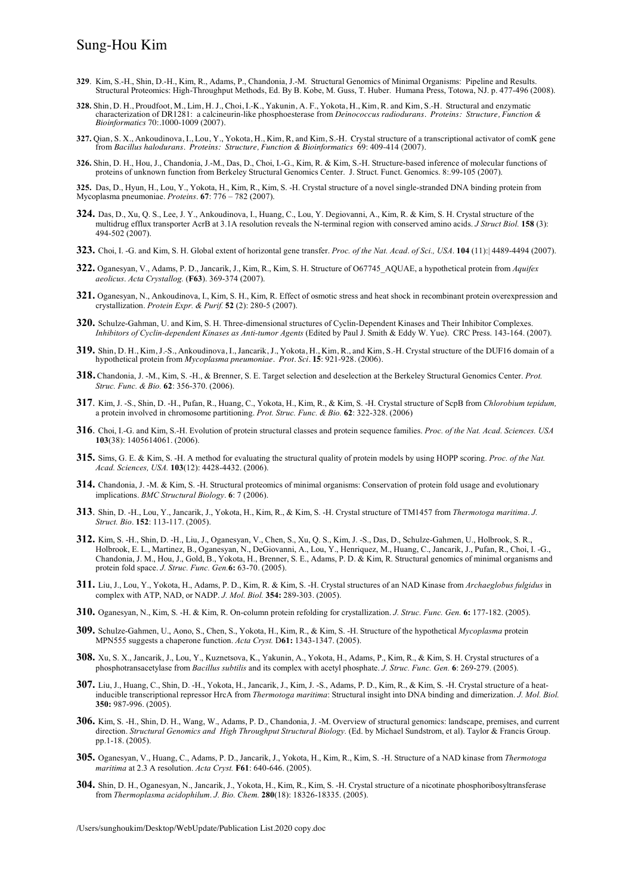- **329**. Kim, S.-H., Shin, D.-H., Kim, R., Adams, P., Chandonia, J.-M. Structural Genomics of Minimal Organisms: Pipeline and Results. Structural Proteomics: High-Throughput Methods, Ed. By B. Kobe, M. Guss, T. Huber. Humana Press, Totowa, NJ. p. 477-496 (2008).
- 328. Shin, D. H., Proudfoot, M., Lim, H. J., Choi, I.-K., Yakunin, A. F., Yokota, H., Kim, R. and Kim, S.-H. Structural and enzymatic characterization of DR1281: a calcineurin-like phosphoesterase from *Deinococcus radiodu*
- 327. Qian, S. X., Ankoudinova, I., Lou, Y., Yokota, H., Kim, R, and Kim, S.-H. Crystal structure of a transcriptional activator of comK gene from Bacillus halodurans. Proteins: Structure, Function & Bioinformatics 69: 409-
- **326.** Shin, D. H., Hou, J., Chandonia, J.-M., Das, D., Choi, I.-G., Kim, R. & Kim, S.-H. Structure-based inference of molecular functions of proteins of unknown function from Berkeley Structural Genomics Center. J. Struct. Funct. Genomics. 8:.99-105 (2007).

**325.** Das, D., Hyun, H., Lou, Y., Yokota, H., Kim, R., Kim, S. -H. Crystal structure of a novel single-stranded DNA binding protein from Mycoplasma pneumoniae. *Proteins*. **67**: 776 – 782 (2007).

- **324.** Das, D., Xu, Q. S., Lee, J. Y., Ankoudinova, I., Huang, C., Lou, Y. Degiovanni, A., Kim, R. & Kim, S. H. Crystal structure of the multidrug efflux transporter AcrB at 3.1A resolution reveals the N-terminal region with conserved amino acids. *J Struct Biol.* **158** (3): 494-502 (2007).
- **323.** Choi, I. -G. and Kim, S. H. Global extent of horizontal gene transfer. *Proc. of the Nat. Acad*. *of Sci., USA*. **104** (11):| 4489-4494 (2007).
- **322.** Oganesyan, V., Adams, P. D., Jancarik, J., Kim, R., Kim, S. H. Structure of O67745\_AQUAE, a hypothetical protein from *Aquifex aeolicus*. *Acta Crystallog.* (**F63**). 369-374 (2007).
- **321.** Oganesyan, N., Ankoudinova, I., Kim, S. H., Kim, R. Effect of osmotic stress and heat shock in recombinant protein overexpression and crystallization. *Protein Expr. & Purif.* **52** (2): 280-5 (2007).
- **320.** Schulze-Gahman, U. and Kim, S. H. Three-dimensional structures of Cyclin-Dependent Kinases and Their Inhibitor Complexes. *Inhibitors of Cyclin-dependent Kinases as Anti-tumor Agents* (Edited by Paul J. Smith & Eddy W. Yue). CRC Press. 143-164. (2007).
- **319.** Shin, D. H., Kim, J.-S., Ankoudinova, I., Jancarik, J., Yokota, H., Kim, R., and Kim, S.-H. Crystal structure of the DUF16 domain of a hypothetical protein from *Mycoplasma pneumoniae*. *Prot. Sci*. **15**: 921-928. (2006).
- **318.** Chandonia, J. -M., Kim, S. -H., & Brenner, S. E. Target selection and deselection at the Berkeley Structural Genomics Center. *Prot. Struc. Func. & Bio.* **62**: 356-370. (2006).
- **317**. Kim, J. -S., Shin, D. -H., Pufan, R., Huang, C., Yokota, H., Kim, R., & Kim, S. -H. Crystal structure of ScpB from *Chlorobium tepidum,* a protein involved in chromosome partitioning. *Prot. Struc. Func. & Bio.* **62**: 322-328. (2006)
- **316**. Choi, I.-G. and Kim, S.-H. Evolution of protein structural classes and protein sequence families. *Proc. of the Nat. Acad. Sciences. USA* **103**(38): 1405614061. (2006).
- **315.** Sims, G. E. & Kim, S. -H. A method for evaluating the structural quality of protein models by using HOPP scoring. *Proc. of the Nat. Acad. Sciences, USA.* **103**(12): 4428-4432. (2006).
- **314.** Chandonia, J. -M. & Kim, S. -H. Structural proteomics of minimal organisms: Conservation of protein fold usage and evolutionary implications. *BMC Structural Biology*. **6**: 7 (2006).
- **313**. Shin, D. -H., Lou, Y., Jancarik, J., Yokota, H., Kim, R., & Kim, S. -H. Crystal structure of TM1457 from *Thermotoga maritima*. *J. Struct. Bio*. **152**: 113-117. (2005).
- **312.** Kim, S. -H., Shin, D. -H., Liu, J., Oganesyan, V., Chen, S., Xu, Q. S., Kim, J. -S., Das, D., Schulze-Gahmen, U., Holbrook, S. R., Holbrook, E. L., Martinez, B., Oganesyan, N., DeGiovanni, A., Lou, Y., Henriquez, M., Huang, C., Jancarik, J., Pufan, R., Choi, I. -G., Chandonia, J. M., Hou, J., Gold, B., Yokota, H., Brenner, S. E., Adams, P. D. & Kim, R. Structural genomics of minimal organisms and protein fold space. *J. Struc. Func. Gen.***6:** 63-70. (2005).
- **311.** Liu, J., Lou, Y., Yokota, H., Adams, P. D., Kim, R. & Kim, S. -H. Crystal structures of an NAD Kinase from *Archaeglobus fulgidus* in complex with ATP, NAD, or NADP. *J. Mol. Biol.* **354:** 289-303. (2005).
- **310.** Oganesyan, N., Kim, S. -H. & Kim, R. On-column protein refolding for crystallization. *J. Struc. Func. Gen.* **6:** 177-182. (2005).
- **309.** Schulze-Gahmen, U., Aono, S., Chen, S., Yokota, H., Kim, R., & Kim, S. -H. Structure of the hypothetical *Mycoplasma* protein MPN555 suggests a chaperone function. *Acta Cryst.* D**61:** 1343-1347. (2005).
- **308.** Xu, S. X., Jancarik, J., Lou, Y., Kuznetsova, K., Yakunin, A., Yokota, H., Adams, P., Kim, R., & Kim, S. H. Crystal structures of a phosphotransacetylase from *Bacillus subtilis* and its complex with acetyl phosphate. *J. Struc. Func. Gen.* **6**: 269-279. (2005).
- **307.** Liu, J., Huang, C., Shin, D. -H., Yokota, H., Jancarik, J., Kim, J. -S., Adams, P. D., Kim, R., & Kim, S. -H. Crystal structure of a heatinducible transcriptional repressor HrcA from *Thermotoga maritima*: Structural insight into DNA binding and dimerization. *J. Mol. Biol.*  **350:** 987-996. (2005).
- **306.** Kim, S. -H., Shin, D. H., Wang, W., Adams, P. D., Chandonia, J. -M. Overview of structural genomics: landscape, premises, and current direction. *Structural Genomics and High Throughput Structural Biology*. (Ed. by Michael Sundstrom, et al). Taylor & Francis Group. pp.1-18. (2005).
- **305.** Oganesyan, V., Huang, C., Adams, P. D., Jancarik, J., Yokota, H., Kim, R., Kim, S. -H. Structure of a NAD kinase from *Thermotoga maritima* at 2.3 A resolution. *Acta Cryst.* **F61**: 640-646. (2005).
- **304.** Shin, D. H., Oganesyan, N., Jancarik, J., Yokota, H., Kim, R., Kim, S. -H. Crystal structure of a nicotinate phosphoribosyltransferase from *Thermoplasma acidophilum*. *J. Bio. Chem.* **280**(18): 18326-18335. (2005).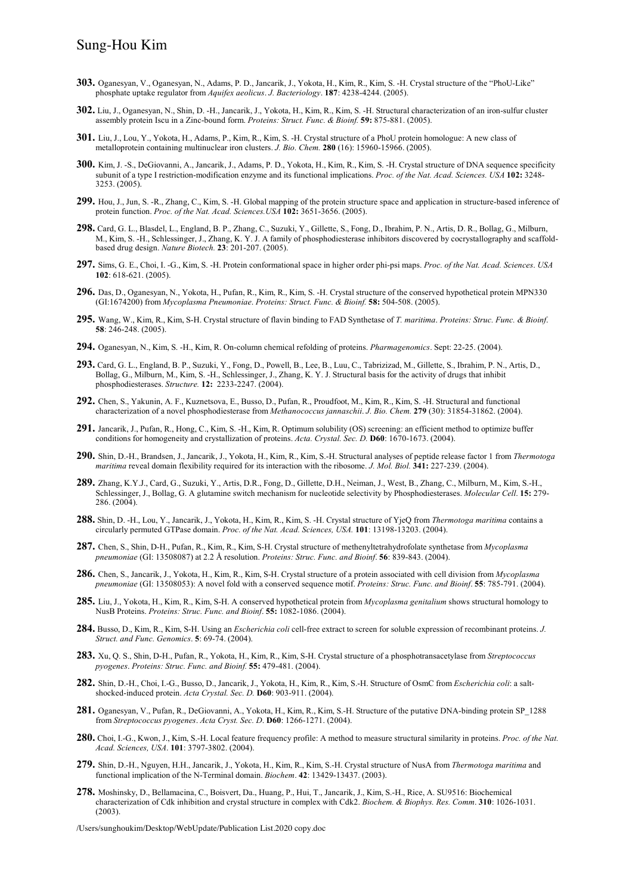- **303.** Oganesyan, V., Oganesyan, N., Adams, P. D., Jancarik, J., Yokota, H., Kim, R., Kim, S. -H. Crystal structure of the "PhoU-Like" phosphate uptake regulator from *Aquifex aeolicus*. *J. Bacteriology*. **187**: 4238-4244. (2005).
- **302.** Liu, J., Oganesyan, N., Shin, D. -H., Jancarik, J., Yokota, H., Kim, R., Kim, S. -H. Structural characterization of an iron-sulfur cluster assembly protein Iscu in a Zinc-bound form. *Proteins: Struct. Func. & Bioinf.* **59:** 875-881. (2005).
- **301.** Liu, J., Lou, Y., Yokota, H., Adams, P., Kim, R., Kim, S. -H. Crystal structure of a PhoU protein homologue: A new class of metalloprotein containing multinuclear iron clusters. *J. Bio. Chem.* **280** (16): 15960-15966. (2005).
- **300.** Kim, J. -S., DeGiovanni, A., Jancarik, J., Adams, P. D., Yokota, H., Kim, R., Kim, S. -H. Crystal structure of DNA sequence specificity subunit of a type I restriction-modification enzyme and its functional implications. *Proc. of the Nat. Acad. Sciences. USA* **102:** 3248- 3253. (2005).
- **299.** Hou, J., Jun, S. -R., Zhang, C., Kim, S. -H. Global mapping of the protein structure space and application in structure-based inference of protein function. *Proc. of the Nat. Acad. Sciences.USA* **102:** 3651-3656. (2005).
- **298.** Card, G. L., Blasdel, L., England, B. P., Zhang, C., Suzuki, Y., Gillette, S., Fong, D., Ibrahim, P. N., Artis, D. R., Bollag, G., Milburn, M., Kim, S. -H., Schlessinger, J., Zhang, K. Y. J. A family of phosphodiesterase inhibitors discovered by cocrystallography and scaffoldbased drug design. *Nature Biotech.* **23**: 201-207. (2005).
- **297.** Sims, G. E., Choi, I. -G., Kim, S. -H. Protein conformational space in higher order phi-psi maps. *Proc. of the Nat. Acad. Sciences*. *USA* **102**: 618-621. (2005).
- **296.** Das, D., Oganesyan, N., Yokota, H., Pufan, R., Kim, R., Kim, S. -H. Crystal structure of the conserved hypothetical protein MPN330 (GI:1674200) from *Mycoplasma Pneumoniae*. *Proteins: Struct. Func. & Bioinf.* **58:** 504-508. (2005).
- **295.** Wang, W., Kim, R., Kim, S-H. Crystal structure of flavin binding to FAD Synthetase of *T. maritima*. *Proteins: Struc. Func. & Bioinf*. **58**: 246-248. (2005).
- **294.** Oganesyan, N., Kim, S. -H., Kim, R. On-column chemical refolding of proteins. *Pharmagenomics*. Sept: 22-25. (2004).
- **293.** Card, G. L., England, B. P., Suzuki, Y., Fong, D., Powell, B., Lee, B., Luu, C., Tabrizizad, M., Gillette, S., Ibrahim, P. N., Artis, D., Bollag, G., Milburn, M., Kim, S. -H., Schlessinger, J., Zhang, K. Y. J. Structural basis for the activity of drugs that inhibit phosphodiesterases. *Structure.* **12:** 2233-2247. (2004).
- **292.** Chen, S., Yakunin, A. F., Kuznetsova, E., Busso, D., Pufan, R., Proudfoot, M., Kim, R., Kim, S. -H. Structural and functional characterization of a novel phosphodiesterase from *Methanococcus jannaschii*. *J. Bio. Chem.* **279** (30): 31854-31862. (2004).
- **291.** Jancarik, J., Pufan, R., Hong, C., Kim, S. -H., Kim, R. Optimum solubility (OS) screening: an efficient method to optimize buffer conditions for homogeneity and crystallization of proteins. *Acta. Crystal. Sec. D.* **D60**: 1670-1673. (2004).
- **290.** Shin, D.-H., Brandsen, J., Jancarik, J., Yokota, H., Kim, R., Kim, S.-H. Structural analyses of peptide release factor 1 from *Thermotoga maritima* reveal domain flexibility required for its interaction with the ribosome. *J. Mol. Biol.* **341:** 227-239. (2004).
- **289.** Zhang, K.Y.J., Card, G., Suzuki, Y., Artis, D.R., Fong, D., Gillette, D.H., Neiman, J., West, B., Zhang, C., Milburn, M., Kim, S.-H., Schlessinger, J., Bollag, G. A glutamine switch mechanism for nucleotide selectivity by Phosphodiesterases. *Molecular Cell*. **15:** 279- 286. (2004).
- **288.** Shin, D. -H., Lou, Y., Jancarik, J., Yokota, H., Kim, R., Kim, S. -H. Crystal structure of YjeQ from *Thermotoga maritima* contains a circularly permuted GTPase domain. *Proc. of the Nat. Acad. Sciences, USA.* **101**: 13198-13203. (2004).
- **287.** Chen, S., Shin, D-H., Pufan, R., Kim, R., Kim, S-H. Crystal structure of methenyltetrahydrofolate synthetase from *Mycoplasma pneumoniae* (GI: 13508087) at 2.2 Å resolution. *Proteins: Struc. Func. and Bioinf*. **56**: 839-843. (2004).
- **286.** Chen, S., Jancarik, J., Yokota, H., Kim, R., Kim, S-H. Crystal structure of a protein associated with cell division from *Mycoplasma pneumoniae* (GI: 13508053): A novel fold with a conserved sequence motif. *Proteins: Struc. Func. and Bioinf*. **55**: 785-791. (2004).
- **285.** Liu, J., Yokota, H., Kim, R., Kim, S-H. A conserved hypothetical protein from *Mycoplasma genitalium* shows structural homology to NusB Proteins. *Proteins: Struc. Func. and Bioinf*. **55:** 1082-1086. (2004).
- **284.** Busso, D., Kim, R., Kim, S-H. Using an *Escherichia coli* cell-free extract to screen for soluble expression of recombinant proteins. *J. Struct. and Func. Genomics*. **5**: 69-74. (2004).
- **283.** Xu, Q. S., Shin, D-H., Pufan, R., Yokota, H., Kim, R., Kim, S-H. Crystal structure of a phosphotransacetylase from *Streptococcus pyogenes*. *Proteins: Struc. Func. and Bioinf.* **55:** 479-481. (2004).
- **282.** Shin, D.-H., Choi, I.-G., Busso, D., Jancarik, J., Yokota, H., Kim, R., Kim, S.-H. Structure of OsmC from *Escherichia coli*: a saltshocked-induced protein. *Acta Crystal. Sec. D.* **D60**: 903-911. (2004).
- **281.** Oganesyan, V., Pufan, R., DeGiovanni, A., Yokota, H., Kim, R., Kim, S.-H. Structure of the putative DNA-binding protein SP\_1288 from *Streptococcus pyogenes*. *Acta Cryst. Sec. D*. **D60**: 1266-1271. (2004).
- **280.** Choi, I.-G., Kwon, J., Kim, S.-H. Local feature frequency profile: A method to measure structural similarity in proteins. *Proc. of the Nat. Acad. Sciences, USA*. **101**: 3797-3802. (2004).
- **279.** Shin, D.-H., Nguyen, H.H., Jancarik, J., Yokota, H., Kim, R., Kim, S.-H. Crystal structure of NusA from *Thermotoga maritima* and functional implication of the N-Terminal domain. *Biochem*. **42**: 13429-13437. (2003).
- **278.** Moshinsky, D., Bellamacina, C., Boisvert, Da., Huang, P., Hui, T., Jancarik, J., Kim, S.-H., Rice, A. SU9516: Biochemical characterization of Cdk inhibition and crystal structure in complex with Cdk2. *Biochem. & Biophys. Res. Comm*. **310**: 1026-1031.  $(2003)$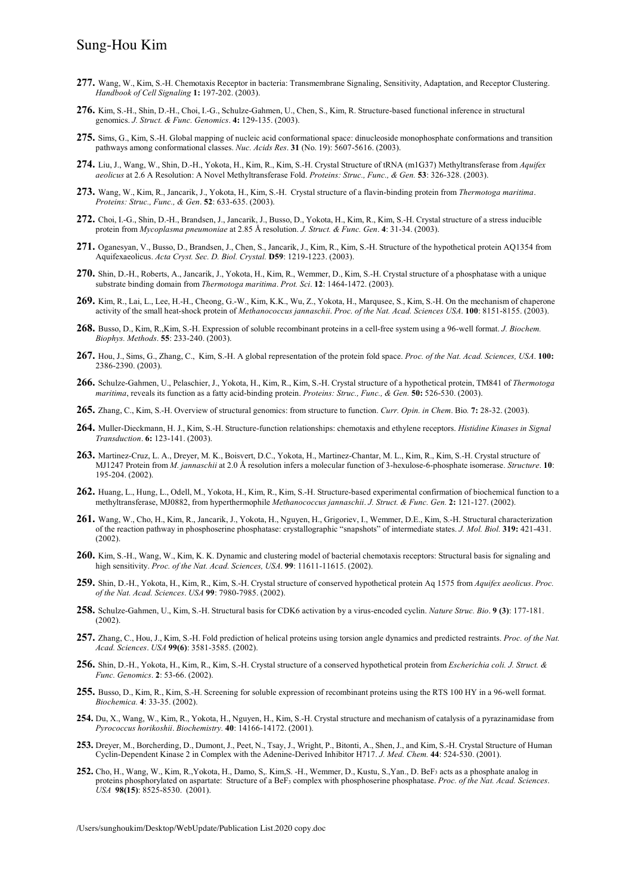- **277.** Wang, W., Kim, S.-H. Chemotaxis Receptor in bacteria: Transmembrane Signaling, Sensitivity, Adaptation, and Receptor Clustering. *Handbook of Cell Signaling* **1:** 197-202. (2003).
- **276.** Kim, S.-H., Shin, D.-H., Choi, I.-G., Schulze-Gahmen, U., Chen, S., Kim, R. Structure-based functional inference in structural genomics. *J. Struct. & Func. Genomics*. **4:** 129-135. (2003).
- **275.** Sims, G., Kim, S.-H. Global mapping of nucleic acid conformational space: dinucleoside monophosphate conformations and transition pathways among conformational classes. *Nuc. Acids Res*. **31** (No. 19): 5607-5616. (2003).
- **274.** Liu, J., Wang, W., Shin, D.-H., Yokota, H., Kim, R., Kim, S.-H. Crystal Structure of tRNA (m1G37) Methyltransferase from *Aquifex aeolicus* at 2.6 A Resolution: A Novel Methyltransferase Fold. *Proteins: Struc., Func., & Gen.* **53**: 326-328. (2003).
- **273.** Wang, W., Kim, R., Jancarik, J., Yokota, H., Kim, S.-H. Crystal structure of a flavin-binding protein from *Thermotoga maritima*. *Proteins: Struc., Func., & Gen*. **52**: 633-635. (2003).
- **272.** Choi, I.-G., Shin, D.-H., Brandsen, J., Jancarik, J., Busso, D., Yokota, H., Kim, R., Kim, S.-H. Crystal structure of a stress inducible protein from *Mycoplasma pneumoniae* at 2.85 Å resolution. *J. Struct. & Func. Gen*. **4**: 31-34. (2003).
- **271.** Oganesyan, V., Busso, D., Brandsen, J., Chen, S., Jancarik, J., Kim, R., Kim, S.-H. Structure of the hypothetical protein AQ1354 from Aquifexaeolicus. *Acta Cryst. Sec. D. Biol. Crystal.* **D59**: 1219-1223. (2003).
- **270.** Shin, D.-H., Roberts, A., Jancarik, J., Yokota, H., Kim, R., Wemmer, D., Kim, S.-H. Crystal structure of a phosphatase with a unique substrate binding domain from *Thermotoga maritima*. *Prot. Sci*. **12**: 1464-1472. (2003).
- **269.** Kim, R., Lai, L., Lee, H.-H., Cheong, G.-W., Kim, K.K., Wu, Z., Yokota, H., Marqusee, S., Kim, S.-H. On the mechanism of chaperone activity of the small heat-shock protein of *Methanococcus jannaschii*. *Proc. of the Nat. Acad. Sciences USA*. **100**: 8151-8155. (2003).
- **268.** Busso, D., Kim, R.,Kim, S.-H. Expression of soluble recombinant proteins in a cell-free system using a 96-well format. *J. Biochem. Biophys. Methods*. **55**: 233-240. (2003).
- **267.** Hou, J., Sims, G., Zhang, C., Kim, S.-H. A global representation of the protein fold space. *Proc. of the Nat. Acad. Sciences, USA*. **100:**  2386-2390. (2003).
- **266.** Schulze-Gahmen, U., Pelaschier, J., Yokota, H., Kim, R., Kim, S.-H. Crystal structure of a hypothetical protein, TM841 of *Thermotoga maritima*, reveals its function as a fatty acid-binding protein. *Proteins: Struc., Func., & Gen.* **50:** 526-530. (2003).
- **265.** Zhang, C., Kim, S.-H. Overview of structural genomics: from structure to function. *Curr. Opin. in Chem*. Bio*.* **7:** 28-32. (2003).
- **264.** Muller-Dieckmann, H. J., Kim, S.-H. Structure-function relationships: chemotaxis and ethylene receptors. *Histidine Kinases in Signal Transduction*. **6:** 123-141. (2003).
- **263.** Martinez-Cruz, L. A., Dreyer, M. K., Boisvert, D.C., Yokota, H., Martinez-Chantar, M. L., Kim, R., Kim, S.-H. Crystal structure of MJ1247 Protein from *M. jannaschii* at 2.0 Å resolution infers a molecular function of 3-hexulose-6-phosphate isomerase. *Structure*. **10**: 195-204. (2002).
- **262.** Huang, L., Hung, L., Odell, M., Yokota, H., Kim, R., Kim, S.-H. Structure-based experimental confirmation of biochemical function to a methyltransferase, MJ0882, from hyperthermophile *Methanococcus jannaschii*. *J. Struct. & Func. Gen.* **2:** 121-127. (2002).
- **261.** Wang, W., Cho, H., Kim, R., Jancarik, J., Yokota, H., Nguyen, H., Grigoriev, I., Wemmer, D.E., Kim, S.-H. Structural characterization of the reaction pathway in phosphoserine phosphatase: crystallographic "snapshots" of intermediate states. *J. Mol. Biol.* **319:** 421-431. (2002).
- **260.** Kim, S.-H., Wang, W., Kim, K. K. Dynamic and clustering model of bacterial chemotaxis receptors: Structural basis for signaling and high sensitivity. *Proc. of the Nat. Acad. Sciences, USA*. **99**: 11611-11615. (2002).
- **259.** Shin, D.-H., Yokota, H., Kim, R., Kim, S.-H. Crystal structure of conserved hypothetical protein Aq 1575 from *Aquifex aeolicus*. *Proc. of the Nat. Acad. Sciences*. *USA* **99**: 7980-7985. (2002).
- **258.** Schulze-Gahmen, U., Kim, S.-H. Structural basis for CDK6 activation by a virus-encoded cyclin. *Nature Struc. Bio*. **9 (3)**: 177-181. (2002).
- **257.** Zhang, C., Hou, J., Kim, S.-H. Fold prediction of helical proteins using torsion angle dynamics and predicted restraints. *Proc. of the Nat. Acad. Sciences*. *USA* **99(6)**: 3581-3585. (2002).
- **256.** Shin, D.-H., Yokota, H., Kim, R., Kim, S.-H. Crystal structure of a conserved hypothetical protein from *Escherichia coli. J. Struct. & Func. Genomics*. **2**: 53-66. (2002).
- **255.** Busso, D., Kim, R., Kim, S.-H. Screening for soluble expression of recombinant proteins using the RTS 100 HY in a 96-well format. *Biochemica.* **4**: 33-35. (2002).
- **254.** Du, X., Wang, W., Kim, R., Yokota, H., Nguyen, H., Kim, S.-H. Crystal structure and mechanism of catalysis of a pyrazinamidase from *Pyrococcus horikoshii*. *Biochemistry.* **40**: 14166-14172. (2001).
- **253.** Dreyer, M., Borcherding, D., Dumont, J., Peet, N., Tsay, J., Wright, P., Bitonti, A., Shen, J., and Kim, S.-H. Crystal Structure of Human Cyclin-Dependent Kinase 2 in Complex with the Adenine-Derived Inhibitor H717. *J. Med. Chem.* **44**: 524-530. (2001).
- **252.** Cho, H., Wang, W., Kim, R.,Yokota, H., Damo, S,. Kim,S. -H., Wemmer, D., Kustu, S.,Yan., D. BeF3 acts as a phosphate analog in proteins phosphorylated on aspartate: Structure of a BeF3 complex with phosphoserine phosphatase. *Proc. of the Nat. Acad. Sciences*. *USA* **98(15)**: 8525-8530. (2001).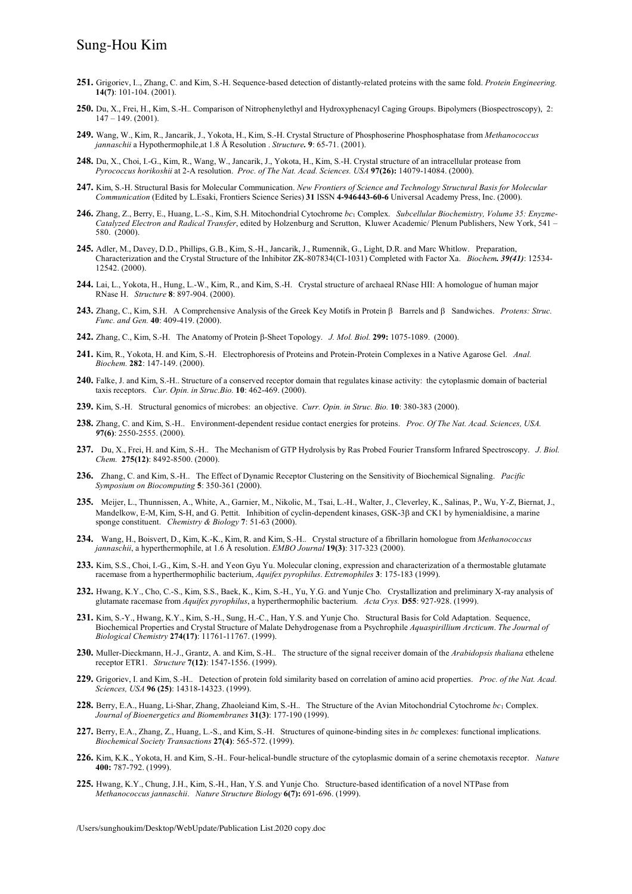- **251.** Grigoriev, I.., Zhang, C. and Kim, S.-H. Sequence-based detection of distantly-related proteins with the same fold. *Protein Engineering.* **14(7)**: 101-104. (2001).
- **250.** Du, X., Frei, H., Kim, S.-H.. Comparison of Nitrophenylethyl and Hydroxyphenacyl Caging Groups. Bipolymers (Biospectroscopy), 2:  $147 - 149. (2001)$ .
- **249.** Wang, W., Kim, R., Jancarik, J., Yokota, H., Kim, S.-H. Crystal Structure of Phosphoserine Phosphosphatase from *Methanococcus jannaschii* a Hypothermophile,at 1.8 Å Resolution . *Structure.* **9**: 65-71. (2001).
- **248.** Du, X., Choi, I.-G., Kim, R., Wang, W., Jancarik, J., Yokota, H., Kim, S.-H. Crystal structure of an intracellular protease from *Pyrococcus horikoshii* at 2-A resolution. *Proc. of The Nat. Acad. Sciences. USA* **97(26):** 14079-14084. (2000).
- **247.** Kim, S.-H. Structural Basis for Molecular Communication. *New Frontiers of Science and Technology Structural Basis for Molecular Communication* (Edited by L.Esaki, Frontiers Science Series) **31** ISSN **4-946443-60-6** Universal Academy Press, Inc. (2000).
- **246.** Zhang, Z., Berry, E., Huang, L.-S., Kim, S.H. Mitochondrial Cytochrome *bc*<sup>1</sup> Complex. *Subcellular Biochemistry, Volume 35: Enyzme-Catalyzed Electron and Radical Transfer*, edited by Holzenburg and Scrutton, Kluwer Academic/ Plenum Publishers, New York, 541 – 580. (2000).
- **245.** Adler, M., Davey, D.D., Phillips, G.B., Kim, S.-H., Jancarik, J., Rumennik, G., Light, D.R. and Marc Whitlow. Preparation, Characterization and the Crystal Structure of the Inhibitor ZK-807834(CI-1031) Completed with Factor Xa. *Biochem. 39(41)*: 12534- 12542. (2000).
- **244.** Lai, L., Yokota, H., Hung, L.-W., Kim, R., and Kim, S.-H. Crystal structure of archaeal RNase HII: A homologue of human major RNase H. *Structure* **8**: 897-904. (2000).
- **243.** Zhang, C., Kim, S.H. A Comprehensive Analysis of the Greek Key Motifs in Protein  $\beta$  Barrels and  $\beta$  Sandwiches. *Protens: Struc. Func. and Gen.* **40**: 409-419. (2000).
- **242.** Zhang, C., Kim, S.-H. The Anatomy of Protein b-Sheet Topology. *J. Mol. Biol.* **299:** 1075-1089. (2000).
- **241.** Kim, R., Yokota, H. and Kim, S.-H. Electrophoresis of Proteins and Protein-Protein Complexes in a Native Agarose Gel. *Anal. Biochem.* **282**: 147-149. (2000).
- **240.** Falke, J. and Kim, S.-H.. Structure of a conserved receptor domain that regulates kinase activity: the cytoplasmic domain of bacterial taxis receptors. *Cur. Opin. in Struc.Bio.* **10**: 462-469. (2000).
- **239.** Kim, S.-H. Structural genomics of microbes: an objective. *Curr. Opin. in Struc. Bio.* **10**: 380-383 (2000).
- **238.** Zhang, C. and Kim, S.-H.. Environment-dependent residue contact energies for proteins. *Proc. Of The Nat. Acad. Sciences, USA. 9***7(6)**: 2550-2555. (2000).
- **237.** Du, X., Frei, H. and Kim, S.-H.. The Mechanism of GTP Hydrolysis by Ras Probed Fourier Transform Infrared Spectroscopy. *J. Biol. Chem.* **275(12)**: 8492-8500. (2000).
- **236.** Zhang, C. and Kim, S.-H.. The Effect of Dynamic Receptor Clustering on the Sensitivity of Biochemical Signaling. *Pacific Symposium on Biocomputing* **5**: 350-361 (2000).
- **235.** Meijer, L., Thunnissen, A., White, A., Garnier, M., Nikolic, M., Tsai, L.-H., Walter, J., Cleverley, K., Salinas, P., Wu, Y-Z, Biernat, J., Mandelkow, E-M, Kim, S-H, and G. Pettit. Inhibition of cyclin-dependent kinases, GSK-3 $\beta$  and CK1 by hymenialdisine, a marine sponge constituent. *Chemistry & Biology* **7**: 51-63 (2000).
- **234.** Wang, H., Boisvert, D., Kim, K.-K., Kim, R. and Kim, S.-H.. Crystal structure of a fibrillarin homologue from *Methanococcus jannaschii*, a hyperthermophile, at 1.6 Å resolution. *EMBO Journal* **19(3)**: 317-323 (2000).
- **233.** Kim, S.S., Choi, I.-G., Kim, S.-H. and Yeon Gyu Yu. Molecular cloning, expression and characterization of a thermostable glutamate racemase from a hyperthermophilic bacterium, *Aquifex pyrophilus*. *Extremophiles* **3**: 175-183 (1999).
- **232.** Hwang, K.Y., Cho, C.-S., Kim, S.S., Baek, K., Kim, S.-H., Yu, Y.G. and Yunje Cho. Crystallization and preliminary X-ray analysis of glutamate racemase from *Aquifex pyrophilus*, a hyperthermophilic bacterium. *Acta Crys.* **D55**: 927-928. (1999).
- **231.** Kim, S.-Y., Hwang, K.Y., Kim, S.-H., Sung, H.-C., Han, Y.S. and Yunje Cho. Structural Basis for Cold Adaptation. Sequence, Biochemical Properties and Crystal Structure of Malate Dehydrogenase from a Psychrophile *Aquaspirillium Arcticum*. *The Journal of Biological Chemistry* **274(17)**: 11761-11767. (1999).
- **230.** Muller-Dieckmann, H.-J., Grantz, A. and Kim, S.-H.. The structure of the signal receiver domain of the *Arabidopsis thaliana* ethelene receptor ETR1. *Structure* **7(12)**: 1547-1556. (1999).
- **229.** Grigoriev, I. and Kim, S.-H.. Detection of protein fold similarity based on correlation of amino acid properties. *Proc. of the Nat. Acad. Sciences, USA* **96 (25)**: 14318-14323. (1999).
- **228.** Berry, E.A., Huang, Li-Shar, Zhang, Zhaoleiand Kim, S.-H.. The Structure of the Avian Mitochondrial Cytochrome *bc*<sup>1</sup> Complex. *Journal of Bioenergetics and Biomembranes* **31(3)**: 177-190 (1999).
- **227.** Berry, E.A., Zhang, Z., Huang, L.-S., and Kim, S.-H. Structures of quinone-binding sites in *bc* complexes: functional implications. *Biochemical Society Transactions* **27(4)**: 565-572. (1999).
- **226.** Kim, K.K., Yokota, H. and Kim, S.-H.. Four-helical-bundle structure of the cytoplasmic domain of a serine chemotaxis receptor. *Nature* **400:** 787-792. (1999).
- **225.** Hwang, K.Y., Chung, J.H., Kim, S.-H., Han, Y.S. and Yunje Cho. Structure-based identification of a novel NTPase from *Methanococcus jannaschii*. *Nature Structure Biology* **6(7):** 691-696. (1999).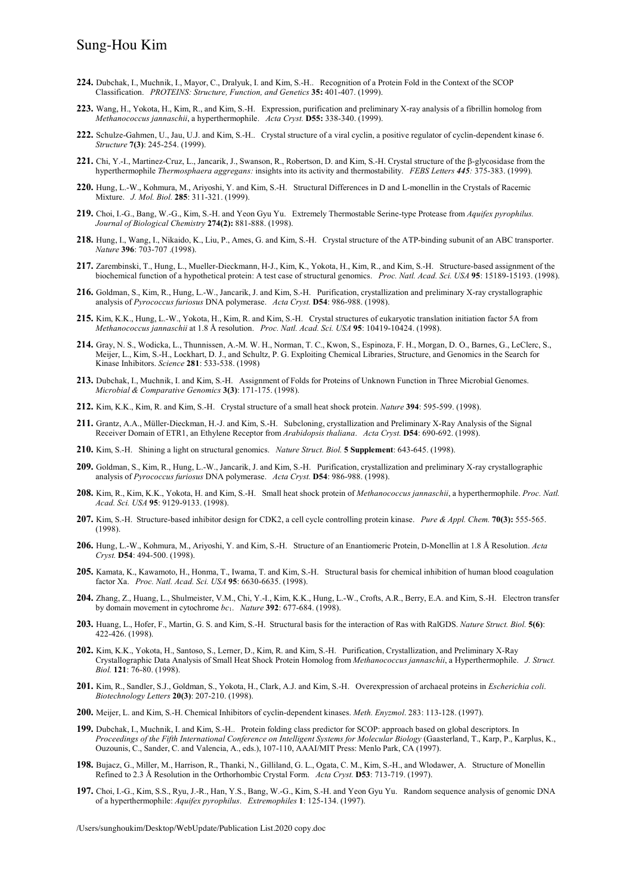- **224.** Dubchak, I., Muchnik, I., Mayor, C., Dralyuk, I. and Kim, S.-H.. Recognition of a Protein Fold in the Context of the SCOP Classification. *PROTEINS: Structure, Function, and Genetics* **35:** 401-407. (1999).
- **223.** Wang, H., Yokota, H., Kim, R., and Kim, S.-H. Expression, purification and preliminary X-ray analysis of a fibrillin homolog from *Methanococcus jannaschii*, a hyperthermophile. *Acta Cryst.* **D55:** 338-340. (1999).
- **222.** Schulze-Gahmen, U., Jau, U.J. and Kim, S.-H.. Crystal structure of a viral cyclin, a positive regulator of cyclin-dependent kinase 6. *Structure* **7(3)**: 245-254. (1999).
- **221.** Chi, Y.-I., Martinez-Cruz, L., Jancarik, J., Swanson, R., Robertson, D. and Kim, S.-H. Crystal structure of the b-glycosidase from the hyperthermophile *Thermosphaera aggregans:* insights into its activity and thermostability. *FEBS Letters 445:* 375-383. (1999).
- **220.** Hung, L.-W., Kohmura, M., Ariyoshi, Y. and Kim, S.-H. Structural Differences in D and L-monellin in the Crystals of Racemic Mixture. *J. Mol. Biol.* **285**: 311-321. (1999).
- **219.** Choi, I.-G., Bang, W.-G., Kim, S.-H. and Yeon Gyu Yu. Extremely Thermostable Serine-type Protease from *Aquifex pyrophilus. Journal of Biological Chemistry* **274(2):** 881-888. (1998).
- **218.** Hung, I., Wang, I., Nikaido, K., Liu, P., Ames, G. and Kim, S.-H. Crystal structure of the ATP-binding subunit of an ABC transporter. *Nature* **396**: 703-707 .(1998).
- **217.** Zarembinski, T., Hung, L., Mueller-Dieckmann, H-J., Kim, K., Yokota, H., Kim, R., and Kim, S.-H. Structure-based assignment of the biochemical function of a hypothetical protein: A test case of structural genomics. *Proc. Natl. Acad. Sci. USA* **95**: 15189-15193. (1998).
- **216.** Goldman, S., Kim, R., Hung, L.-W., Jancarik, J. and Kim, S.-H. Purification, crystallization and preliminary X-ray crystallographic analysis of *Pyrococcus furiosus* DNA polymerase. *Acta Cryst.* **D54**: 986-988. (1998).
- **215.** Kim, K.K., Hung, L.-W., Yokota, H., Kim, R. and Kim, S.-H. Crystal structures of eukaryotic translation initiation factor 5A from *Methanococcus jannaschii* at 1.8 Å resolution. *Proc. Natl. Acad. Sci. USA* **95**: 10419-10424. (1998).
- **214.** Gray, N. S., Wodicka, L., Thunnissen, A.-M. W. H., Norman, T. C., Kwon, S., Espinoza, F. H., Morgan, D. O., Barnes, G., LeClerc, S., Meijer, L., Kim, S.-H., Lockhart, D. J., and Schultz, P. G. Exploiting Chemical Libraries, Structure, and Genomics in the Search for Kinase Inhibitors. *Science* **281**: 533-538. (1998)
- **213.** Dubchak, I., Muchnik, I. and Kim, S.-H. Assignment of Folds for Proteins of Unknown Function in Three Microbial Genomes. *Microbial & Comparative Genomics* **3(3)**: 171-175. (1998).
- **212.** Kim, K.K., Kim, R. and Kim, S.-H. Crystal structure of a small heat shock protein. *Nature* **394**: 595-599. (1998).
- **211.** Grantz, A.A., Müller-Dieckman, H.-J. and Kim, S.-H. Subcloning, crystallization and Preliminary X-Ray Analysis of the Signal Receiver Domain of ETR1, an Ethylene Receptor from *Arabidopsis thaliana*. *Acta Cryst.* **D54**: 690-692. (1998).
- **210.** Kim, S.-H. Shining a light on structural genomics. *Nature Struct. Biol.* **5 Supplement**: 643-645. (1998).
- **209.** Goldman, S., Kim, R., Hung, L.-W., Jancarik, J. and Kim, S.-H. Purification, crystallization and preliminary X-ray crystallographic analysis of *Pyrococcus furiosus* DNA polymerase. *Acta Cryst.* **D54**: 986-988. (1998).
- **208.** Kim, R., Kim, K.K., Yokota, H. and Kim, S.-H. Small heat shock protein of *Methanococcus jannaschii*, a hyperthermophile. *Proc. Natl. Acad. Sci. USA* **95**: 9129-9133. (1998).
- **207.** Kim, S.-H. Structure-based inhibitor design for CDK2, a cell cycle controlling protein kinase. *Pure & Appl. Chem.* **70(3):** 555-565. (1998).
- **206.** Hung, L.-W., Kohmura, M., Ariyoshi, Y. and Kim, S.-H. Structure of an Enantiomeric Protein, D-Monellin at 1.8 Å Resolution. *Acta Cryst.* **D54**: 494-500. (1998).
- **205.** Kamata, K., Kawamoto, H., Honma, T., Iwama, T. and Kim, S.-H. Structural basis for chemical inhibition of human blood coagulation factor Xa. *Proc. Natl. Acad. Sci. USA* **95**: 6630-6635. (1998).
- **204.** Zhang, Z., Huang, L., Shulmeister, V.M., Chi, Y.-I., Kim, K.K., Hung, L.-W., Crofts, A.R., Berry, E.A. and Kim, S.-H. Electron transfer by domain movement in cytochrome *bc*1. *Nature* **392**: 677-684. (1998).
- **203.** Huang, L., Hofer, F., Martin, G. S. and Kim, S.-H. Structural basis for the interaction of Ras with RalGDS. *Nature Struct. Biol.* **5(6)**: 422-426. (1998).
- **202.** Kim, K.K., Yokota, H., Santoso, S., Lerner, D., Kim, R. and Kim, S.-H. Purification, Crystallization, and Preliminary X-Ray Crystallographic Data Analysis of Small Heat Shock Protein Homolog from *Methanococcus jannaschii*, a Hyperthermophile. *J. Struct. Biol.* **121**: 76-80. (1998).
- **201.** Kim, R., Sandler, S.J., Goldman, S., Yokota, H., Clark, A.J. and Kim, S.-H. Overexpression of archaeal proteins in *Escherichia coli*. *Biotechnology Letters* **20(3)**: 207-210. (1998).
- **200.** Meijer, L. and Kim, S.-H. Chemical Inhibitors of cyclin-dependent kinases. *Meth. Enyzmol*. 283: 113-128. (1997).
- **199.** Dubchak, I., Muchnik, I. and Kim, S.-H.. Protein folding class predictor for SCOP: approach based on global descriptors. In *Proceedings of the Fifth International Conference on Intelligent Systems for Molecular Biology* (Gaasterland, T., Karp, P., Karplus, K., Ouzounis, C., Sander, C. and Valencia, A., eds.), 107-110, AAAI/MIT Press: Menlo Park, CA (1997).
- **198.** Bujacz, G., Miller, M., Harrison, R., Thanki, N., Gilliland, G. L., Ogata, C. M., Kim, S.-H., and Wlodawer, A. Structure of Monellin Refined to 2.3 Å Resolution in the Orthorhombic Crystal Form. *Acta Cryst.* **D53**: 713-719. (1997).
- **197.** Choi, I.-G., Kim, S.S., Ryu, J.-R., Han, Y.S., Bang, W.-G., Kim, S.-H. and Yeon Gyu Yu. Random sequence analysis of genomic DNA of a hyperthermophile: *Aquifex pyrophilus*. *Extremophiles* **1**: 125-134. (1997).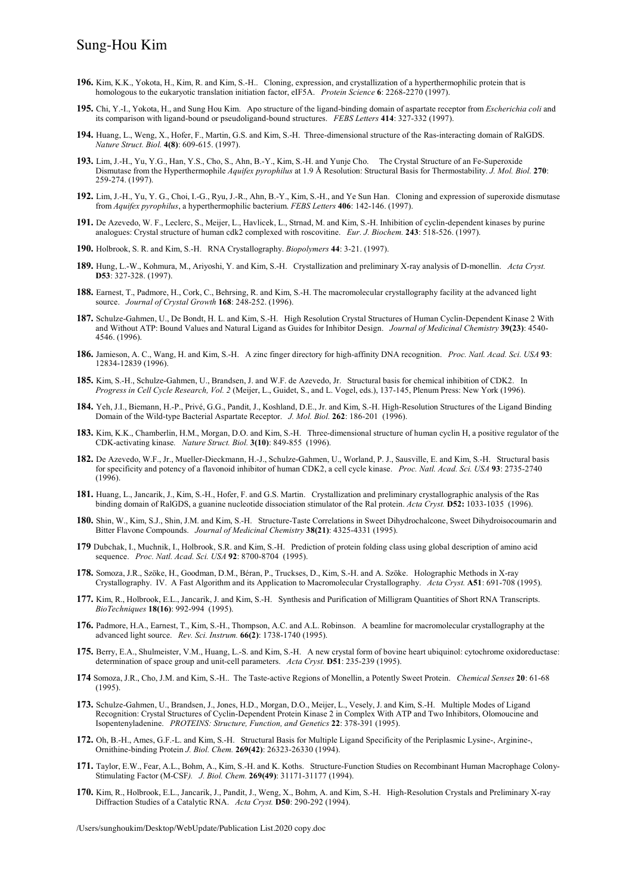- **196.** Kim, K.K., Yokota, H., Kim, R. and Kim, S.-H.. Cloning, expression, and crystallization of a hyperthermophilic protein that is homologous to the eukaryotic translation initiation factor, eIF5A. *Protein Science* **6**: 2268-2270 (1997).
- **195.** Chi, Y.-I., Yokota, H., and Sung Hou Kim. Apo structure of the ligand-binding domain of aspartate receptor from *Escherichia coli* and its comparison with ligand-bound or pseudoligand-bound structures. *FEBS Letters* **414**: 327-332 (1997).
- **194.** Huang, L., Weng, X., Hofer, F., Martin, G.S. and Kim, S.-H. Three-dimensional structure of the Ras-interacting domain of RalGDS. *Nature Struct. Biol.* **4(8)**: 609-615. (1997).
- **193.** Lim, J.-H., Yu, Y.G., Han, Y.S., Cho, S., Ahn, B.-Y., Kim, S.-H. and Yunje Cho. The Crystal Structure of an Fe-Superoxide Dismutase from the Hyperthermophile *Aquifex pyrophilus* at 1.9 Å Resolution: Structural Basis for Thermostability. *J. Mol. Biol.* **270**: 259-274. (1997).
- **192.** Lim, J.-H., Yu, Y. G., Choi, I.-G., Ryu, J.-R., Ahn, B.-Y., Kim, S.-H., and Ye Sun Han. Cloning and expression of superoxide dismutase from *Aquifex pyrophilus*, a hyperthermophilic bacterium. *FEBS Letters* **406**: 142-146. (1997).
- **191.** De Azevedo, W. F., Leclerc, S., Meijer, L., Havlicek, L., Strnad, M. and Kim, S.-H. Inhibition of cyclin-dependent kinases by purine analogues: Crystal structure of human cdk2 complexed with roscovitine. *Eur. J. Biochem.* **243**: 518-526. (1997).
- **190.** Holbrook, S. R. and Kim, S.-H. RNA Crystallography. *Biopolymers* **44**: 3-21. (1997).
- **189.** Hung, L.-W., Kohmura, M., Ariyoshi, Y. and Kim, S.-H. Crystallization and preliminary X-ray analysis of D-monellin. *Acta Cryst.* **D53**: 327-328. (1997).
- **188.** Earnest, T., Padmore, H., Cork, C., Behrsing, R. and Kim, S.-H. The macromolecular crystallography facility at the advanced light source. *Journal of Crystal Growth* **168**: 248-252. (1996).
- **187.** Schulze-Gahmen, U., De Bondt, H. L. and Kim, S.-H. High Resolution Crystal Structures of Human Cyclin-Dependent Kinase 2 With and Without ATP: Bound Values and Natural Ligand as Guides for Inhibitor Design. *Journal of Medicinal Chemistry* **39(23)**: 4540- 4546. (1996).
- **186.** Jamieson, A. C., Wang, H. and Kim, S.-H. A zinc finger directory for high-affinity DNA recognition. *Proc. Natl. Acad. Sci. USA* **93**: 12834-12839 (1996).
- **185.** Kim, S.-H., Schulze-Gahmen, U., Brandsen, J. and W.F. de Azevedo, Jr. Structural basis for chemical inhibition of CDK2. In *Progress in Cell Cycle Research, Vol. 2* (Meijer, L., Guidet, S., and L. Vogel, eds.), 137-145, Plenum Press: New York (1996).
- **184.** Yeh, J.I., Biemann, H.-P., Privé, G.G., Pandit, J., Koshland, D.E., Jr. and Kim, S.-H. High-Resolution Structures of the Ligand Binding Domain of the Wild-type Bacterial Aspartate Receptor. *J. Mol. Biol.* **262**: 186-201 (1996).
- **183.** Kim, K.K., Chamberlin, H.M., Morgan, D.O. and Kim, S.-H. Three-dimensional structure of human cyclin H, a positive regulator of the CDK-activating kinase*. Nature Struct. Biol.* **3(10)**: 849-855 (1996).
- **182.** De Azevedo, W.F., Jr., Mueller-Dieckmann, H.-J., Schulze-Gahmen, U., Worland, P. J., Sausville, E. and Kim, S.-H. Structural basis for specificity and potency of a flavonoid inhibitor of human CDK2, a cell cycle kinase. *Proc. Natl. Acad. Sci. USA* **93**: 2735-2740 (1996).
- **181.** Huang, L., Jancarik, J., Kim, S.-H., Hofer, F. and G.S. Martin. Crystallization and preliminary crystallographic analysis of the Ras binding domain of RalGDS, a guanine nucleotide dissociation stimulator of the Ral protein. *Acta Cryst.* **D52:** 1033-1035 (1996).
- **180.** Shin, W., Kim, S.J., Shin, J.M. and Kim, S.-H. Structure-Taste Correlations in Sweet Dihydrochalcone, Sweet Dihydroisocoumarin and Bitter Flavone Compounds. *Journal of Medicinal Chemistry* **38(21)**: 4325-4331 (1995).
- **179** Dubchak, I., Muchnik, I., Holbrook, S.R. and Kim, S.-H. Prediction of protein folding class using global description of amino acid sequence. *Proc. Natl. Acad. Sci. USA* **92**: 8700-8704 (1995).
- **178.** Somoza, J.R., Szöke, H., Goodman, D.M., Béran, P., Truckses, D., Kim, S.-H. and A. Szöke. Holographic Methods in X-ray Crystallography. IV. A Fast Algorithm and its Application to Macromolecular Crystallography. *Acta Cryst.* **A51**: 691-708 (1995).
- **177.** Kim, R., Holbrook, E.L., Jancarik, J. and Kim, S.-H. Synthesis and Purification of Milligram Quantities of Short RNA Transcripts. *BioTechniques* **18(16)**: 992-994 (1995).
- **176.** Padmore, H.A., Earnest, T., Kim, S.-H., Thompson, A.C. and A.L. Robinson. A beamline for macromolecular crystallography at the advanced light source. *Rev. Sci. Instrum.* **66(2)**: 1738-1740 (1995).
- **175.** Berry, E.A., Shulmeister, V.M., Huang, L.-S. and Kim, S.-H. A new crystal form of bovine heart ubiquinol: cytochrome oxidoreductase: determination of space group and unit-cell parameters. *Acta Cryst.* **D51**: 235-239 (1995).
- **174** Somoza, J.R., Cho, J.M. and Kim, S.-H.. The Taste-active Regions of Monellin, a Potently Sweet Protein. *Chemical Senses* **20**: 61-68 (1995).
- **173.** Schulze-Gahmen, U., Brandsen, J., Jones, H.D., Morgan, D.O., Meijer, L., Vesely, J. and Kim, S.-H. Multiple Modes of Ligand Recognition: Crystal Structures of Cyclin-Dependent Protein Kinase 2 in Complex With ATP and Two Inhibitors, Olomoucine and Isopentenyladenine. *PROTEINS: Structure, Function, and Genetics* **22**: 378-391 (1995).
- **172.** Oh, B.-H., Ames, G.F.-L. and Kim, S.-H. Structural Basis for Multiple Ligand Specificity of the Periplasmic Lysine-, Arginine-, Ornithine-binding Protein *J. Biol. Chem.* **269(42)**: 26323-26330 (1994).
- **171.** Taylor, E.W., Fear, A.L., Bohm, A., Kim, S.-H. and K. Koths. Structure-Function Studies on Recombinant Human Macrophage Colony-Stimulating Factor (M-CSF*). J. Biol. Chem.* **269(49)**: 31171-31177 (1994).
- **170.** Kim, R., Holbrook, E.L., Jancarik, J., Pandit, J., Weng, X., Bohm, A. and Kim, S.-H. High-Resolution Crystals and Preliminary X-ray Diffraction Studies of a Catalytic RNA. *Acta Cryst.* **D50**: 290-292 (1994).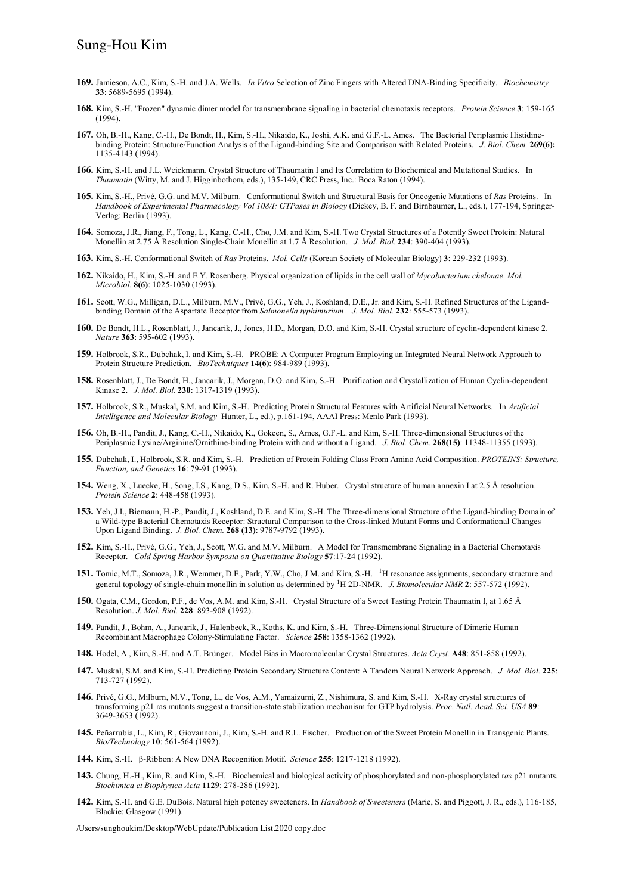- **169.** Jamieson, A.C., Kim, S.-H. and J.A. Wells. *In Vitro* Selection of Zinc Fingers with Altered DNA-Binding Specificity. *Biochemistry*  **33**: 5689-5695 (1994).
- **168.** Kim, S.-H. "Frozen" dynamic dimer model for transmembrane signaling in bacterial chemotaxis receptors. *Protein Science* **3**: 159-165  $(1994)$
- **167.** Oh, B.-H., Kang, C.-H., De Bondt, H., Kim, S.-H., Nikaido, K., Joshi, A.K. and G.F.-L. Ames. The Bacterial Periplasmic Histidinebinding Protein: Structure/Function Analysis of the Ligand-binding Site and Comparison with Related Proteins. *J. Biol. Chem.* **269(6):**  1135-4143 (1994).
- **166.** Kim, S.-H. and J.L. Weickmann. Crystal Structure of Thaumatin I and Its Correlation to Biochemical and Mutational Studies. In *Thaumatin* (Witty, M. and J. Higginbothom, eds.), 135-149, CRC Press, Inc.: Boca Raton (1994).
- **165.** Kim, S.-H., Privé, G.G. and M.V. Milburn. Conformational Switch and Structural Basis for Oncogenic Mutations of *Ras* Proteins. In *Handbook of Experimental Pharmacology Vol 108/I: GTPases in Biology* (Dickey, B. F. and Birnbaumer, L., eds.), 177-194, Springer-Verlag: Berlin (1993).
- **164.** Somoza, J.R., Jiang, F., Tong, L., Kang, C.-H., Cho, J.M. and Kim, S.-H. Two Crystal Structures of a Potently Sweet Protein: Natural Monellin at 2.75 Å Resolution Single-Chain Monellin at 1.7 Å Resolution. *J. Mol. Biol.* **234**: 390-404 (1993).
- **163.** Kim, S.-H. Conformational Switch of *Ras* Proteins. *Mol. Cells* (Korean Society of Molecular Biology) **3**: 229-232 (1993).
- **162.** Nikaido, H., Kim, S.-H. and E.Y. Rosenberg. Physical organization of lipids in the cell wall of *Mycobacterium chelonae*. *Mol. Microbiol.* **8(6)**: 1025-1030 (1993).
- **161.** Scott, W.G., Milligan, D.L., Milburn, M.V., Privé, G.G., Yeh, J., Koshland, D.E., Jr. and Kim, S.-H. Refined Structures of the Ligandbinding Domain of the Aspartate Receptor from *Salmonella typhimurium*. *J. Mol. Biol.* **232**: 555-573 (1993).
- **160.** De Bondt, H.L., Rosenblatt, J., Jancarik, J., Jones, H.D., Morgan, D.O. and Kim, S.-H. Crystal structure of cyclin-dependent kinase 2. *Nature* **363**: 595-602 (1993).
- **159.** Holbrook, S.R., Dubchak, I. and Kim, S.-H. PROBE: A Computer Program Employing an Integrated Neural Network Approach to Protein Structure Prediction. *BioTechniques* **14(6)**: 984-989 (1993).
- **158.** Rosenblatt, J., De Bondt, H., Jancarik, J., Morgan, D.O. and Kim, S.-H. Purification and Crystallization of Human Cyclin-dependent Kinase 2. *J. Mol. Biol.* **230**: 1317-1319 (1993).
- **157.** Holbrook, S.R., Muskal, S.M. and Kim, S.-H. Predicting Protein Structural Features with Artificial Neural Networks. In *Artificial Intelligence and Molecular Biology* Hunter, L., ed.), p.161-194, AAAI Press: Menlo Park (1993).
- **156.** Oh, B.-H., Pandit, J., Kang, C.-H., Nikaido, K., Gokcen, S., Ames, G.F.-L. and Kim, S.-H. Three-dimensional Structures of the Periplasmic Lysine/Arginine/Ornithine-binding Protein with and without a Ligand. *J. Biol. Chem.* **268(15)**: 11348-11355 (1993).
- **155.** Dubchak, I., Holbrook, S.R. and Kim, S.-H. Prediction of Protein Folding Class From Amino Acid Composition. *PROTEINS: Structure, Function, and Genetics* **16**: 79-91 (1993).
- **154.** Weng, X., Luecke, H., Song, I.S., Kang, D.S., Kim, S.-H. and R. Huber. Crystal structure of human annexin I at 2.5 Å resolution. *Protein Science* **2**: 448-458 (1993).
- **153.** Yeh, J.I., Biemann, H.-P., Pandit, J., Koshland, D.E. and Kim, S.-H. The Three-dimensional Structure of the Ligand-binding Domain of a Wild-type Bacterial Chemotaxis Receptor: Structural Comparison to the Cross-linked Mutant Forms and Conformational Changes Upon Ligand Binding. *J. Biol. Chem.* **268 (13)**: 9787-9792 (1993).
- **152.** Kim, S.-H., Privé, G.G., Yeh, J., Scott, W.G. and M.V. Milburn. A Model for Transmembrane Signaling in a Bacterial Chemotaxis Receptor*. Cold Spring Harbor Symposia on Quantitative Biology* **57**:17-24 (1992).
- 151. Tomic, M.T., Somoza, J.R., Wemmer, D.E., Park, Y.W., Cho, J.M. and Kim, S.-H. <sup>1</sup>H resonance assignments, secondary structure and general topology of single-chain monellin in solution as determined by 1 H 2D-NMR. *J. Biomolecular NMR* **2**: 557-572 (1992).
- **150.** Ogata, C.M., Gordon, P.F., de Vos, A.M. and Kim, S.-H. Crystal Structure of a Sweet Tasting Protein Thaumatin I, at 1.65 Å Resolution. *J. Mol. Biol.* **228**: 893-908 (1992).
- **149.** Pandit, J., Bohm, A., Jancarik, J., Halenbeck, R., Koths, K. and Kim, S.-H. Three-Dimensional Structure of Dimeric Human Recombinant Macrophage Colony-Stimulating Factor. *Science* **258**: 1358-1362 (1992).
- **148.** Hodel, A., Kim, S.-H. and A.T. Brünger. Model Bias in Macromolecular Crystal Structures. *Acta Cryst.* **A48**: 851-858 (1992).
- **147.** Muskal, S.M. and Kim, S.-H. Predicting Protein Secondary Structure Content: A Tandem Neural Network Approach. *J. Mol. Biol.* **225**: 713-727 (1992).
- **146.** Privé, G.G., Milburn, M.V., Tong, L., de Vos, A.M., Yamaizumi, Z., Nishimura, S. and Kim, S.-H. X-Ray crystal structures of transforming p21 ras mutants suggest a transition-state stabilization mechanism for GTP hydrolysis. *Proc. Natl. Acad. Sci. USA* **89**: 3649-3653 (1992).
- **145.** Peñarrubia, L., Kim, R., Giovannoni, J., Kim, S.-H. and R.L. Fischer. Production of the Sweet Protein Monellin in Transgenic Plants. *Bio/Technology* **10**: 561-564 (1992).
- **144.** Kim, S.-H. b-Ribbon: A New DNA Recognition Motif. *Science* **255**: 1217-1218 (1992).
- **143.** Chung, H.-H., Kim, R. and Kim, S.-H. Biochemical and biological activity of phosphorylated and non-phosphorylated r*as* p21 mutants. *Biochimica et Biophysica Acta* **1129**: 278-286 (1992).
- **142.** Kim, S.-H. and G.E. DuBois. Natural high potency sweeteners. In *Handbook of Sweeteners* (Marie, S. and Piggott, J. R., eds.), 116-185, Blackie: Glasgow (1991).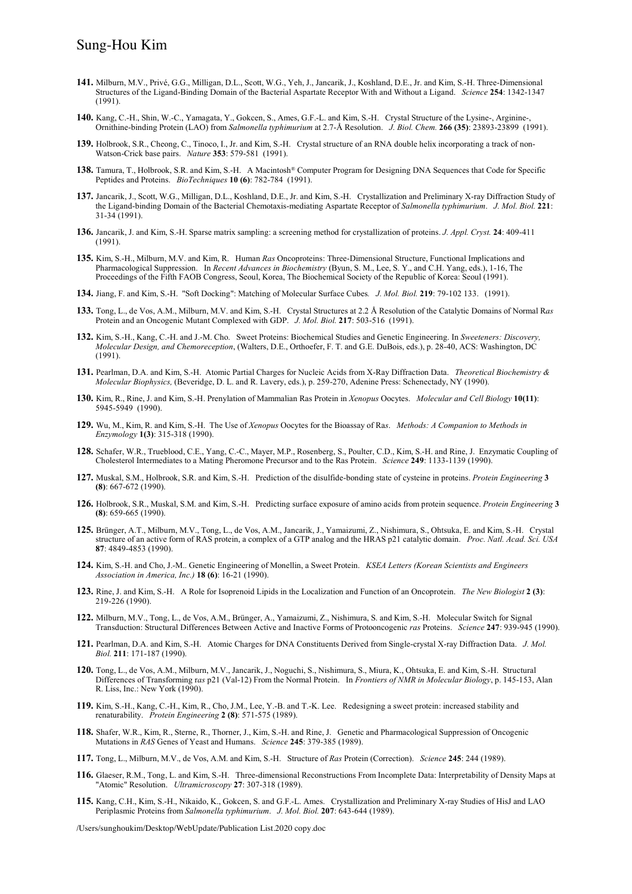- **141.** Milburn, M.V., Privé, G.G., Milligan, D.L., Scott, W.G., Yeh, J., Jancarik, J., Koshland, D.E., Jr. and Kim, S.-H. Three-Dimensional Structures of the Ligand-Binding Domain of the Bacterial Aspartate Receptor With and Without a Ligand. *Science* **254**: 1342-1347 (1991).
- **140.** Kang, C.-H., Shin, W.-C., Yamagata, Y., Gokcen, S., Ames, G.F.-L. and Kim, S.-H. Crystal Structure of the Lysine-, Arginine-, Ornithine-binding Protein (LAO) from *Salmonella typhimurium* at 2.7-Å Resolution. *J. Biol. Chem.* **266 (35)**: 23893-23899 (1991).
- **139.** Holbrook, S.R., Cheong, C., Tinoco, I., Jr. and Kim, S.-H. Crystal structure of an RNA double helix incorporating a track of non-Watson-Crick base pairs. *Nature* **353**: 579-581 (1991).
- **138.** Tamura, T., Holbrook, S.R. and Kim, S.-H. A Macintosh® Computer Program for Designing DNA Sequences that Code for Specific Peptides and Proteins. *BioTechniques* **10 (6)**: 782-784 (1991).
- **137.** Jancarik, J., Scott, W.G., Milligan, D.L., Koshland, D.E., Jr. and Kim, S.-H. Crystallization and Preliminary X-ray Diffraction Study of the Ligand-binding Domain of the Bacterial Chemotaxis-mediating Aspartate Receptor of *Salmonella typhimurium*. *J. Mol. Biol.* **221**: 31-34 (1991).
- **136.** Jancarik, J. and Kim, S.-H. Sparse matrix sampling: a screening method for crystallization of proteins. *J. Appl. Cryst.* **24**: 409-411 (1991).
- **135.** Kim, S.-H., Milburn, M.V. and Kim, R. Human *Ras* Oncoproteins: Three-Dimensional Structure, Functional Implications and Pharmacological Suppression. In *Recent Advances in Biochemistry* (Byun, S. M., Lee, S. Y., and C.H. Yang, eds.), 1-16, The Proceedings of the Fifth FAOB Congress, Seoul, Korea, The Biochemical Society of the Republic of Korea: Seoul (1991).
- **134.** Jiang, F. and Kim, S.-H. "Soft Docking": Matching of Molecular Surface Cubes*. J. Mol. Biol.* **219**: 79-102 133. (1991).
- **133.** Tong, L., de Vos, A.M., Milburn, M.V. and Kim, S.-H. Crystal Structures at 2.2 Å Resolution of the Catalytic Domains of Normal R*as* Protein and an Oncogenic Mutant Complexed with GDP. *J. Mol. Biol.* **217**: 503-516 (1991).
- **132.** Kim, S.-H., Kang, C.-H. and J.-M. Cho. Sweet Proteins: Biochemical Studies and Genetic Engineering. In *Sweeteners: Discovery, Molecular Design, and Chemoreception*, (Walters, D.E., Orthoefer, F. T. and G.E. DuBois, eds.), p. 28-40, ACS: Washington, DC  $(1991)$
- **131.** Pearlman, D.A. and Kim, S.-H. Atomic Partial Charges for Nucleic Acids from X-Ray Diffraction Data. *Theoretical Biochemistry & Molecular Biophysics,* (Beveridge, D. L. and R. Lavery, eds.), p. 259-270, Adenine Press: Schenectady, NY (1990).
- **130.** Kim, R., Rine, J. and Kim, S.-H. Prenylation of Mammalian Ras Protein in *Xenopus* Oocytes. *Molecular and Cell Biology* **10(11)**: 5945-5949 (1990).
- **129.** Wu, M., Kim, R. and Kim, S.-H. The Use of *Xenopus* Oocytes for the Bioassay of Ra*s*. *Methods: A Companion to Methods in Enzymology* **1(3)**: 315-318 (1990).
- **128.** Schafer, W.R., Trueblood, C.E., Yang, C.-C., Mayer, M.P., Rosenberg, S., Poulter, C.D., Kim, S.-H. and Rine, J. Enzymatic Coupling of Cholesterol Intermediates to a Mating Pheromone Precursor and to the Ras Protein. *Science* **249**: 1133-1139 (1990).
- **127.** Muskal, S.M., Holbrook, S.R. and Kim, S.-H. Prediction of the disulfide-bonding state of cysteine in proteins. *Protein Engineering* **3 (8)**: 667-672 (1990).
- **126.** Holbrook, S.R., Muskal, S.M. and Kim, S.-H. Predicting surface exposure of amino acids from protein sequence. *Protein Engineering* **3 (8)**: 659-665 (1990).
- **125.** Brünger, A.T., Milburn, M.V., Tong, L., de Vos, A.M., Jancarik, J., Yamaizumi, Z., Nishimura, S., Ohtsuka, E. and Kim, S.-H. Crystal structure of an active form of RAS protein, a complex of a GTP analog and the HRAS p21 catalytic domain. *Proc. Natl. Acad. Sci. USA*  **87**: 4849-4853 (1990).
- **124.** Kim, S.-H. and Cho, J.-M.. Genetic Engineering of Monellin, a Sweet Protein. *KSEA Letters (Korean Scientists and Engineers Association in America, Inc.)* **18 (6)**: 16-21 (1990).
- **123.** Rine, J. and Kim, S.-H. A Role for Isoprenoid Lipids in the Localization and Function of an Oncoprotein. *The New Biologist* **2 (3)**: 219-226 (1990).
- **122.** Milburn, M.V., Tong, L., de Vos, A.M., Brünger, A., Yamaizumi, Z., Nishimura, S. and Kim, S.-H. Molecular Switch for Signal Transduction: Structural Differences Between Active and Inactive Forms of Protooncogenic *ras* Proteins. *Science* **247**: 939-945 (1990).
- **121.** Pearlman, D.A. and Kim, S.-H. Atomic Charges for DNA Constituents Derived from Single-crystal X-ray Diffraction Data. *J. Mol. Biol.* **211**: 171-187 (1990).
- **120.** Tong, L., de Vos, A.M., Milburn, M.V., Jancarik, J., Noguchi, S., Nishimura, S., Miura, K., Ohtsuka, E. and Kim, S.-H. Structural Differences of Transforming r*as* p21 (Val-12) From the Normal Protein. In *Frontiers of NMR in Molecular Biology*, p. 145-153, Alan R. Liss, Inc.: New York (1990).
- **119.** Kim, S.-H., Kang, C.-H., Kim, R., Cho, J.M., Lee, Y.-B. and T.-K. Lee. Redesigning a sweet protein: increased stability and renaturability. *Protein Engineering* **2 (8)**: 571-575 (1989).
- **118.** Shafer, W.R., Kim, R., Sterne, R., Thorner, J., Kim, S.-H. and Rine, J. Genetic and Pharmacological Suppression of Oncogenic Mutations in *RAS* Genes of Yeast and Humans. *Science* **245**: 379-385 (1989).
- **117.** Tong, L., Milburn, M.V., de Vos, A.M. and Kim, S.-H. Structure of *Ras* Protein (Correction). *Science* **245**: 244 (1989).
- **116.** Glaeser, R.M., Tong, L. and Kim, S.-H. Three-dimensional Reconstructions From Incomplete Data: Interpretability of Density Maps at "Atomic" Resolution. *Ultramicroscopy* **27**: 307-318 (1989).
- **115.** Kang, C.H., Kim, S.-H., Nikaido, K., Gokcen, S. and G.F.-L. Ames. Crystallization and Preliminary X-ray Studies of HisJ and LAO Periplasmic Proteins from *Salmonella typhimurium*. *J. Mol. Biol.* **207**: 643-644 (1989).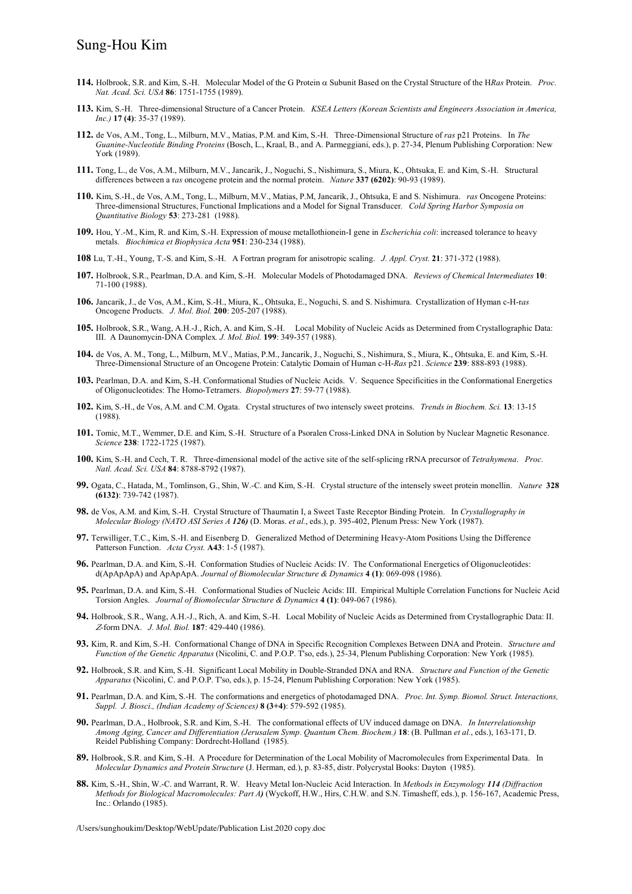- **114.** Holbrook, S.R. and Kim, S.-H. Molecular Model of the G Protein a Subunit Based on the Crystal Structure of the H*Ras* Protein. *Proc. Nat. Acad. Sci. USA* **86**: 1751-1755 (1989).
- **113.** Kim, S.-H. Three-dimensional Structure of a Cancer Protein. *KSEA Letters (Korean Scientists and Engineers Association in America, Inc.)* **17 (4)**: 35-37 (1989).
- **112.** de Vos, A.M., Tong, L., Milburn, M.V., Matias, P.M. and Kim, S.-H. Three-Dimensional Structure of *ras* p21 Proteins. In *The Guanine-Nucleotide Binding Proteins* (Bosch, L., Kraal, B., and A. Parmeggiani, eds.), p. 27-34, Plenum Publishing Corporation: New York (1989).
- **111.** Tong, L., de Vos, A.M., Milburn, M.V., Jancarik, J., Noguchi, S., Nishimura, S., Miura, K., Ohtsuka, E. and Kim, S.-H. Structural differences between a r*as* oncogene protein and the normal protein. *Nature* **337 (6202)**: 90-93 (1989).
- **110.** Kim, S.-H., de Vos, A.M., Tong, L., Milburn, M.V., Matias, P.M, Jancarik, J., Ohtsuka, E and S. Nishimura. *ras* Oncogene Proteins: Three-dimensional Structures, Functional Implications and a Model for Signal Transducer*. Cold Spring Harbor Symposia on Quantitative Biology* **53**: 273-281 (1988).
- **109.** Hou, Y.-M., Kim, R. and Kim, S.-H. Expression of mouse metallothionein-I gene in *Escherichia coli*: increased tolerance to heavy metals. *Biochimica et Biophysica Acta* **951**: 230-234 (1988).
- **108** Lu, T.-H., Young, T.-S. and Kim, S.-H. A Fortran program for anisotropic scaling. *J. Appl. Cryst.* **21**: 371-372 (1988).
- **107.** Holbrook, S.R., Pearlman, D.A. and Kim, S.-H. Molecular Models of Photodamaged DNA. *Reviews of Chemical Intermediates* **10**: 71-100 (1988).
- **106.** Jancarik, J., de Vos, A.M., Kim, S.-H., Miura, K., Ohtsuka, E., Noguchi, S. and S. Nishimura. Crystallization of Hyman c-H-r*as* Oncogene Products. *J. Mol. Biol.* **200**: 205-207 (1988).
- **105.** Holbrook, S.R., Wang, A.H.-J., Rich, A. and Kim, S.-H. Local Mobility of Nucleic Acids as Determined from Crystallographic Data: III. A Daunomycin-DNA Complex*. J. Mol. Biol.* **199**: 349-357 (1988).
- **104.** de Vos, A. M., Tong, L., Milburn, M.V., Matias, P.M., Jancarik, J., Noguchi, S., Nishimura, S., Miura, K., Ohtsuka, E. and Kim, S.-H. Three-Dimensional Structure of an Oncogene Protein: Catalytic Domain of Human c-H-*Ras* p21. *Science* **239**: 888-893 (1988).
- **103.** Pearlman, D.A. and Kim, S.-H. Conformational Studies of Nucleic Acids. V. Sequence Specificities in the Conformational Energetics of Oligonucleotides: The Homo-Tetramers. *Biopolymers* **27**: 59-77 (1988).
- **102.** Kim, S.-H., de Vos, A.M. and C.M. Ogata. Crystal structures of two intensely sweet proteins. *Trends in Biochem. Sci.* **13**: 13-15 (1988).
- **101.** Tomic, M.T., Wemmer, D.E. and Kim, S.-H. Structure of a Psoralen Cross-Linked DNA in Solution by Nuclear Magnetic Resonance. *Science* **238**: 1722-1725 (1987).
- **100.** Kim, S.-H. and Cech, T. R. Three-dimensional model of the active site of the self-splicing rRNA precursor of *Tetrahymena*. *Proc. Natl. Acad. Sci. USA* **84**: 8788-8792 (1987).
- **99.** Ogata, C., Hatada, M., Tomlinson, G., Shin, W.-C. and Kim, S.-H. Crystal structure of the intensely sweet protein monellin. *Nature* **328 (6132)**: 739-742 (1987).
- **98.** de Vos, A.M. and Kim, S.-H. Crystal Structure of Thaumatin I, a Sweet Taste Receptor Binding Protein. In *Crystallography in Molecular Biology (NATO ASI Series A 126)* (D. Moras. *et al.*, eds.), p. 395-402, Plenum Press: New York (1987).
- **97.** Terwilliger, T.C., Kim, S.-H. and Eisenberg D. Generalized Method of Determining Heavy-Atom Positions Using the Difference Patterson Function. *Acta Cryst.* **A43**: 1-5 (1987).
- **96.** Pearlman, D.A. and Kim, S.-H. Conformation Studies of Nucleic Acids: IV. The Conformational Energetics of Oligonucleotides: d(ApApApA) and ApApApA. *Journal of Biomolecular Structure & Dynamics* **4 (1)**: 069-098 (1986).
- **95.** Pearlman, D.A. and Kim, S.-H. Conformational Studies of Nucleic Acids: III. Empirical Multiple Correlation Functions for Nucleic Acid Torsion Angles. *Journal of Biomolecular Structure & Dynamics* **4 (1)**: 049-067 (1986).
- **94.** Holbrook, S.R., Wang, A.H.-J., Rich, A. and Kim, S.-H. Local Mobility of Nucleic Acids as Determined from Crystallographic Data: II. <sup>Z</sup>-form DNA. *J. Mol. Biol.* **187**: 429-440 (1986).
- **93.** Kim, R. and Kim, S.-H. Conformational Change of DNA in Specific Recognition Complexes Between DNA and Protein. *Structure and Function of the Genetic Apparatus* (Nicolini, C. and P.O.P. T'so, eds.), 25-34, Plenum Publishing Corporation: New York (1985).
- **92.** Holbrook, S.R. and Kim, S.-H. Significant Local Mobility in Double-Stranded DNA and RNA. *Structure and Function of the Genetic Apparatus* (Nicolini, C. and P.O.P. T'so, eds.), p. 15-24, Plenum Publishing Corporation: New York (1985).
- **91.** Pearlman, D.A. and Kim, S.-H. The conformations and energetics of photodamaged DNA. *Proc. Int. Symp. Biomol. Struct. Interactions, Suppl. J. Biosci., (Indian Academy of Sciences)* **8 (3+4)**: 579-592 (1985).
- **90.** Pearlman, D.A., Holbrook, S.R. and Kim, S.-H. The conformational effects of UV induced damage on DNA. *In Interrelationship Among Aging, Cancer and Differentiation (Jerusalem Symp. Quantum Chem. Biochem.)* **18**: (B. Pullman *et al.*, eds.), 163-171, D. Reidel Publishing Company: Dordrecht-Holland (1985).
- **89.** Holbrook, S.R. and Kim, S.-H. A Procedure for Determination of the Local Mobility of Macromolecules from Experimental Data. In *Molecular Dynamics and Protein Structure* (J. Herman, ed.), p. 83-85, distr. Polycrystal Books: Dayton (1985).
- **88.** Kim, S.-H., Shin, W.-C. and Warrant, R. W. Heavy Metal Ion-Nucleic Acid Interaction. In *Methods in Enzymology 114 (Diffraction Methods for Biological Macromolecules: Part A)* (Wyckoff, H.W., Hirs, C.H.W. and S.N. Timasheff, eds.), p. 156-167, Academic Press, Inc.: Orlando (1985).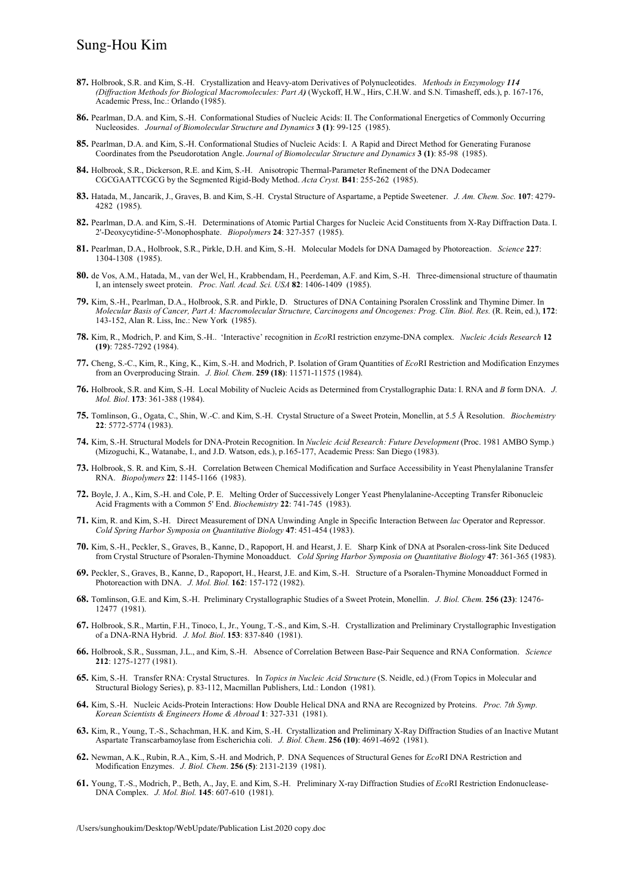- **87.** Holbrook, S.R. and Kim, S.-H. Crystallization and Heavy-atom Derivatives of Polynucleotides. *Methods in Enzymology 114 (Diffraction Methods for Biological Macromolecules: Part A)* (Wyckoff, H.W., Hirs, C.H.W. and S.N. Timasheff, eds.), p. 167-176, Academic Press, Inc.: Orlando (1985).
- **86.** Pearlman, D.A. and Kim, S.-H. Conformational Studies of Nucleic Acids: II. The Conformational Energetics of Commonly Occurring Nucleosides. *Journal of Biomolecular Structure and Dynamics* **3 (1)**: 99-125 (1985).
- 85. Pearlman, D.A. and Kim, S.-H. Conformational Studies of Nucleic Acids: I. A Rapid and Direct Method for Generating Furanose Coordinates from the Pseudorotation Angle. *Journal of Biomolecular Structure and Dynamics* **3 (1)**: 85-98 (1985).
- **84.** Holbrook, S.R., Dickerson, R.E. and Kim, S.-H. Anisotropic Thermal-Parameter Refinement of the DNA Dodecamer CGCGAATTCGCG by the Segmented Rigid-Body Method. *Acta Cryst.* **B41**: 255-262 (1985).
- **83.** Hatada, M., Jancarik, J., Graves, B. and Kim, S.-H. Crystal Structure of Aspartame, a Peptide Sweetener. *J. Am. Chem. Soc.* **107**: 4279- 4282 (1985).
- **82.** Pearlman, D.A. and Kim, S.-H. Determinations of Atomic Partial Charges for Nucleic Acid Constituents from X-Ray Diffraction Data. I. 2'-Deoxycytidine-5'-Monophosphate. *Biopolymers* **24**: 327-357 (1985).
- **81.** Pearlman, D.A., Holbrook, S.R., Pirkle, D.H. and Kim, S.-H. Molecular Models for DNA Damaged by Photoreaction. *Science* **227**: 1304-1308 (1985).
- **80.** de Vos, A.M., Hatada, M., van der Wel, H., Krabbendam, H., Peerdeman, A.F. and Kim, S.-H. Three-dimensional structure of thaumatin I, an intensely sweet protein. *Proc. Natl. Acad. Sci. USA* **82**: 1406-1409 (1985).
- **79.** Kim, S.-H., Pearlman, D.A., Holbrook, S.R. and Pirkle, D. Structures of DNA Containing Psoralen Crosslink and Thymine Dimer. In *Molecular Basis of Cancer, Part A: Macromolecular Structure, Carcinogens and Oncogenes: Prog. Clin. Biol. Res.* (R. Rein, ed.), **172**: 143-152, Alan R. Liss, Inc.: New York (1985).
- **78.** Kim, R., Modrich, P. and Kim, S.-H.. 'Interactive' recognition in *Eco*RI restriction enzyme-DNA complex. *Nucleic Acids Research* **12 (19)**: 7285-7292 (1984).
- **77.** Cheng, S.-C., Kim, R., King, K., Kim, S.-H. and Modrich, P. Isolation of Gram Quantities of *Eco*RI Restriction and Modification Enzymes from an Overproducing Strain. *J. Biol. Chem*. **259 (18)**: 11571-11575 (1984).
- **76.** Holbrook, S.R. and Kim, S.-H. Local Mobility of Nucleic Acids as Determined from Crystallographic Data: I. RNA and *B* form DNA. *J. Mol. Biol*. **173**: 361-388 (1984).
- **75.** Tomlinson, G., Ogata, C., Shin, W.-C. and Kim, S.-H. Crystal Structure of a Sweet Protein, Monellin, at 5.5 Å Resolution. *Biochemistry* **22**: 5772-5774 (1983).
- **74.** Kim, S.-H. Structural Models for DNA-Protein Recognition. In *Nucleic Acid Research: Future Development* (Proc. 1981 AMBO Symp.) (Mizoguchi, K., Watanabe, I., and J.D. Watson, eds.), p.165-177, Academic Press: San Diego (1983).
- **73.** Holbrook, S. R. and Kim, S.-H. Correlation Between Chemical Modification and Surface Accessibility in Yeast Phenylalanine Transfer RNA. *Biopolymers* **22**: 1145-1166 (1983).
- **72.** Boyle, J. A., Kim, S.-H. and Cole, P. E. Melting Order of Successively Longer Yeast Phenylalanine-Accepting Transfer Ribonucleic Acid Fragments with a Common 5' End. *Biochemistry* **22**: 741-745 (1983).
- **71.** Kim, R. and Kim, S.-H. Direct Measurement of DNA Unwinding Angle in Specific Interaction Between *lac* Operator and Repressor. *Cold Spring Harbor Symposia on Quantitative Biology* **47**: 451-454 (1983).
- **70.** Kim, S.-H., Peckler, S., Graves, B., Kanne, D., Rapoport, H. and Hearst, J. E. Sharp Kink of DNA at Psoralen-cross-link Site Deduced from Crystal Structure of Psoralen-Thymine Monoadduct. *Cold Spring Harbor Symposia on Quantitative Biology* **47**: 361-365 (1983).
- **69.** Peckler, S., Graves, B., Kanne, D., Rapoport, H., Hearst, J.E. and Kim, S.-H. Structure of a Psoralen-Thymine Monoadduct Formed in Photoreaction with DNA. *J. Mol. Biol.* **162**: 157-172 (1982).
- **68.** Tomlinson, G.E. and Kim, S.-H. Preliminary Crystallographic Studies of a Sweet Protein, Monellin. *J. Biol. Chem.* **256 (23)**: 12476- 12477 (1981).
- **67.** Holbrook, S.R., Martin, F.H., Tinoco, I., Jr., Young, T.-S., and Kim, S.-H. Crystallization and Preliminary Crystallographic Investigation of a DNA-RNA Hybrid. *J. Mol. Biol*. **153**: 837-840 (1981).
- **66.** Holbrook, S.R., Sussman, J.L., and Kim, S.-H. Absence of Correlation Between Base-Pair Sequence and RNA Conformation. *Science* **212**: 1275-1277 (1981).
- **65.** Kim, S.-H. Transfer RNA: Crystal Structures. In *Topics in Nucleic Acid Structure* (S. Neidle, ed.) (From Topics in Molecular and Structural Biology Series), p. 83-112, Macmillan Publishers, Ltd.: London (1981).
- **64.** Kim, S.-H. Nucleic Acids-Protein Interactions: How Double Helical DNA and RNA are Recognized by Proteins. *Proc. 7th Symp. Korean Scientists & Engineers Home & Abroad* **1**: 327-331 (1981).
- **63.** Kim, R., Young, T.-S., Schachman, H.K. and Kim, S.-H. Crystallization and Preliminary X-Ray Diffraction Studies of an Inactive Mutant Aspartate Transcarbamoylase from Escherichia coli. *J. Biol. Chem*. **256 (10)**: 4691-4692 (1981).
- **62.** Newman, A.K., Rubin, R.A., Kim, S.-H. and Modrich, P. DNA Sequences of Structural Genes for *Eco*RI DNA Restriction and Modification Enzymes. *J. Biol. Chem*. **256 (5)**: 2131-2139 (1981).
- **61.** Young, T.-S., Modrich, P., Beth, A., Jay, E. and Kim, S.-H. Preliminary X-ray Diffraction Studies of *Eco*RI Restriction Endonuclease-DNA Complex. *J. Mol. Biol.* **145**: 607-610 (1981).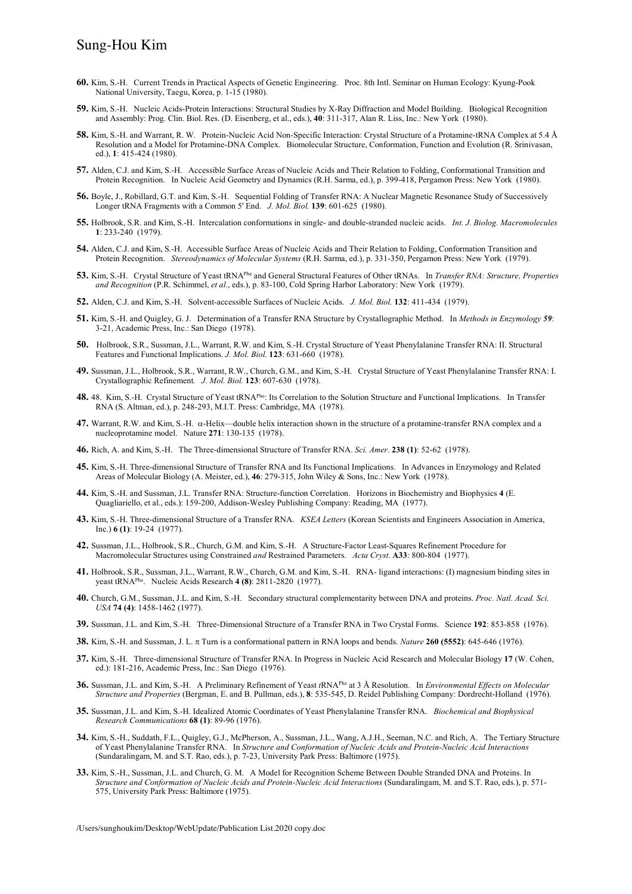- **60.** Kim, S.-H. Current Trends in Practical Aspects of Genetic Engineering. Proc. 8th Intl. Seminar on Human Ecology: Kyung-Pook National University, Taegu, Korea, p. 1-15 (1980).
- **59.** Kim, S.-H. Nucleic Acids-Protein Interactions: Structural Studies by X-Ray Diffraction and Model Building. Biological Recognition and Assembly: Prog. Clin. Biol. Res. (D. Eisenberg, et al., eds.), **40**: 311-317, Alan R. Liss, Inc.: New York (1980).
- **58.** Kim, S.-H. and Warrant, R. W. Protein-Nucleic Acid Non-Specific Interaction: Crystal Structure of a Protamine-tRNA Complex at 5.4 Å Resolution and a Model for Protamine-DNA Complex. Biomolecular Structure, Conformation, Function and Evolution (R. Srinivasan, ed.), **1**: 415-424 (1980).
- **57.** Alden, C.J. and Kim, S.-H. Accessible Surface Areas of Nucleic Acids and Their Relation to Folding, Conformational Transition and Protein Recognition. In Nucleic Acid Geometry and Dynamics (R.H. Sarma, ed.), p. 399-418, Pergamon Press: New York (1980).
- **56.** Boyle, J., Robillard, G.T. and Kim, S.-H. Sequential Folding of Transfer RNA: A Nuclear Magnetic Resonance Study of Successively Longer tRNA Fragments with a Common 5' End. *J. Mol. Biol.* **139**: 601-625 (1980).
- **55.** Holbrook, S.R. and Kim, S.-H. Intercalation conformations in single- and double-stranded nucleic acids. *Int. J. Biolog. Macromolecules* **1**: 233-240 (1979).
- **54.** Alden, C.J. and Kim, S.-H. Accessible Surface Areas of Nucleic Acids and Their Relation to Folding, Conformation Transition and Protein Recognition. *Stereodynamics of Molecular Systems* (R.H. Sarma, ed.), p. 331-350, Pergamon Press: New York (1979).
- **53.** Kim, S.-H. Crystal Structure of Yeast tRNAPhe and General Structural Features of Other tRNAs. In *Transfer RNA: Structure, Properties and Recognition* (P.R. Schimmel, *et al.*, eds.), p. 83-100, Cold Spring Harbor Laboratory: New York (1979).
- **52.** Alden, C.J. and Kim, S.-H. Solvent-accessible Surfaces of Nucleic Acids. *J. Mol. Biol.* **132**: 411-434 (1979).
- **51.** Kim, S.-H. and Quigley, G. J. Determination of a Transfer RNA Structure by Crystallographic Method. In *Methods in Enzymology 59*: 3-21, Academic Press, Inc.: San Diego (1978).
- **50.** Holbrook, S.R., Sussman, J.L., Warrant, R.W. and Kim, S.-H. Crystal Structure of Yeast Phenylalanine Transfer RNA: II. Structural Features and Functional Implications. *J. Mol. Biol.* **123**: 631-660 (1978).
- **49.** Sussman, J.L., Holbrook, S.R., Warrant, R.W., Church, G.M., and Kim, S.-H. Crystal Structure of Yeast Phenylalanine Transfer RNA: I. Crystallographic Refinement*. J. Mol. Biol.* **123**: 607-630 (1978).
- **48.** 48. Kim, S.-H. Crystal Structure of Yeast tRNAPhe: Its Correlation to the Solution Structure and Functional Implications. In Transfer RNA (S. Altman, ed.), p. 248-293, M.I.T. Press: Cambridge, MA (1978).
- **47.** Warrant, R.W. and Kim, S.-H. a-Helix—double helix interaction shown in the structure of a protamine-transfer RNA complex and a nucleoprotamine model. Nature **271**: 130-135 (1978).
- **46.** Rich, A. and Kim, S.-H. The Three-dimensional Structure of Transfer RNA. *Sci. Amer*. **238 (1)**: 52-62 (1978).
- **45.** Kim, S.-H. Three-dimensional Structure of Transfer RNA and Its Functional Implications. In Advances in Enzymology and Related Areas of Molecular Biology (A. Meister, ed.), **46**: 279-315, John Wiley & Sons, Inc.: New York (1978).
- **44.** Kim, S.-H. and Sussman, J.L. Transfer RNA: Structure-function Correlation. Horizons in Biochemistry and Biophysics **4** (E. Quagliariello, et al., eds.): 159-200, Addison-Wesley Publishing Company: Reading, MA (1977).
- **43.** Kim, S.-H. Three-dimensional Structure of a Transfer RNA. *KSEA Letters* (Korean Scientists and Engineers Association in America, Inc.) **6 (1)**: 19-24 (1977).
- **42.** Sussman, J.L., Holbrook, S.R., Church, G.M. and Kim, S.-H. A Structure-Factor Least-Squares Refinement Procedure for Macromolecular Structures using Constrained *and* Restrained Parameters. *Acta Cryst*. **A33**: 800-804 (1977).
- **41.** Holbrook, S.R., Sussman, J.L., Warrant, R.W., Church, G.M. and Kim, S.-H. RNA- ligand interactions: (I) magnesium binding sites in yeast tRNAPhe. Nucleic Acids Research **4 (8)**: 2811-2820 (1977).
- **40.** Church, G.M., Sussman, J.L. and Kim, S.-H. Secondary structural complementarity between DNA and proteins. *Proc. Natl. Acad. Sci. USA* **74 (4)**: 1458-1462 (1977).
- **39.** Sussman, J.L. and Kim, S.-H. Three-Dimensional Structure of a Transfer RNA in Two Crystal Forms. Science **192**: 853-858 (1976).
- **38.** Kim, S.-H. and Sussman, J. L. p Turn is a conformational pattern in RNA loops and bends. *Nature* **260 (5552)**: 645-646 (1976).
- **37.** Kim, S.-H. Three-dimensional Structure of Transfer RNA. In Progress in Nucleic Acid Research and Molecular Biology **17** (W. Cohen, ed.): 181-216, Academic Press, Inc.: San Diego (1976).
- **36.** Sussman, J.L. and Kim, S.-H. A Preliminary Refinement of Yeast *t*RNAPhe at 3 Å Resolution. In *Environmental Effects on Molecular Structure and Properties* (Bergman, E. and B. Pullman, eds.), **8**: 535-545, D. Reidel Publishing Company: Dordrecht-Holland (1976).
- **35.** Sussman, J.L. and Kim, S.-H. Idealized Atomic Coordinates of Yeast Phenylalanine Transfer RNA. *Biochemical and Biophysical Research Communications* **68 (1)**: 89-96 (1976).
- **34.** Kim, S.-H., Suddath, F.L., Quigley, G.J., McPherson, A., Sussman, J.L., Wang, A.J.H., Seeman, N.C. and Rich, A. The Tertiary Structure of Yeast Phenylalanine Transfer RNA. In *Structure and Conformation of Nucleic Acids and Protein-Nucleic Acid Interactions* (Sundaralingam, M. and S.T. Rao, eds.), p. 7-23, University Park Press: Baltimore (1975).
- **33.** Kim, S.-H., Sussman, J.L. and Church, G. M. A Model for Recognition Scheme Between Double Stranded DNA and Proteins. In *Structure and Conformation of Nucleic Acids and Protein-Nucleic Acid Interactions* (Sundaralingam, M. and S.T. Rao, eds.), p. 571- 575, University Park Press: Baltimore (1975).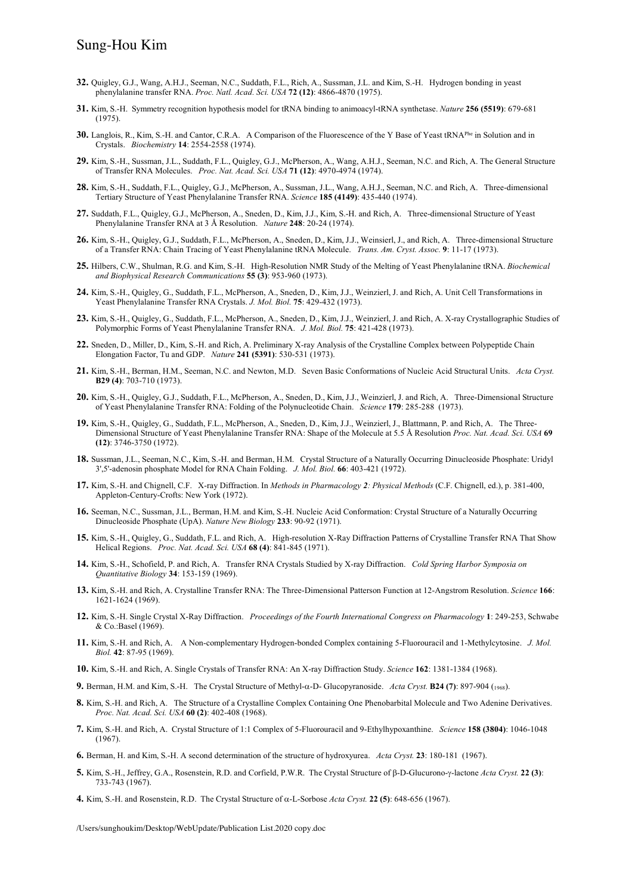- **32.** Quigley, G.J., Wang, A.H.J., Seeman, N.C., Suddath, F.L., Rich, A., Sussman, J.L. and Kim, S.-H. Hydrogen bonding in yeast phenylalanine transfer RNA. *Proc. Natl. Acad. Sci. USA* **72 (12)**: 4866-4870 (1975).
- **31.** Kim, S.-H. Symmetry recognition hypothesis model for tRNA binding to animoacyl-tRNA synthetase. *Nature* **256 (5519)**: 679-681 (1975).
- **30.** Langlois, R., Kim, S.-H. and Cantor, C.R.A. A Comparison of the Fluorescence of the Y Base of Yeast tRNA<sup>Phe</sup> in Solution and in Crystals. *Biochemistry* **14**: 2554-2558 (1974).
- **29.** Kim, S.-H., Sussman, J.L., Suddath, F.L., Quigley, G.J., McPherson, A., Wang, A.H.J., Seeman, N.C. and Rich, A. The General Structure of Transfer RNA Molecules. *Proc. Nat. Acad. Sci. USA* **71 (12)**: 4970-4974 (1974).
- **28.** Kim, S.-H., Suddath, F.L., Quigley, G.J., McPherson, A., Sussman, J.L., Wang, A.H.J., Seeman, N.C. and Rich, A. Three-dimensional Tertiary Structure of Yeast Phenylalanine Transfer RNA. *Science* **185 (4149)**: 435-440 (1974).
- **27.** Suddath, F.L., Quigley, G.J., McPherson, A., Sneden, D., Kim, J.J., Kim, S.-H. and Rich, A. Three-dimensional Structure of Yeast Phenylalanine Transfer RNA at 3 Å Resolution. *Nature* **248**: 20-24 (1974).
- **26.** Kim, S.-H., Quigley, G.J., Suddath, F.L., McPherson, A., Sneden, D., Kim, J.J., Weinsierl, J., and Rich, A. Three-dimensional Structure of a Transfer RNA: Chain Tracing of Yeast Phenylalanine tRNA Molecule. *Trans. Am. Cryst. Assoc.* **9**: 11-17 (1973).
- **25.** Hilbers, C.W., Shulman, R.G. and Kim, S.-H. High-Resolution NMR Study of the Melting of Yeast Phenylalanine tRNA. *Biochemical and Biophysical Research Communications* **55 (3)**: 953-960 (1973).
- **24.** Kim, S.-H., Quigley, G., Suddath, F.L., McPherson, A., Sneden, D., Kim, J.J., Weinzierl, J. and Rich, A. Unit Cell Transformations in Yeast Phenylalanine Transfer RNA Crystals. *J. Mol. Biol.* **75**: 429-432 (1973).
- **23.** Kim, S.-H., Quigley, G., Suddath, F.L., McPherson, A., Sneden, D., Kim, J.J., Weinzierl, J. and Rich, A. X-ray Crystallographic Studies of Polymorphic Forms of Yeast Phenylalanine Transfer RNA. *J. Mol. Biol.* **75**: 421-428 (1973).
- **22.** Sneden, D., Miller, D., Kim, S.-H. and Rich, A. Preliminary X-ray Analysis of the Crystalline Complex between Polypeptide Chain Elongation Factor, Tu and GDP. *Nature* **241 (5391)**: 530-531 (1973).
- **21.** Kim, S.-H., Berman, H.M., Seeman, N.C. and Newton, M.D. Seven Basic Conformations of Nucleic Acid Structural Units. *Acta Cryst.* **B29 (4)**: 703-710 (1973).
- **20.** Kim, S.-H., Quigley, G.J., Suddath, F.L., McPherson, A., Sneden, D., Kim, J.J., Weinzierl, J. and Rich, A. Three-Dimensional Structure of Yeast Phenylalanine Transfer RNA: Folding of the Polynucleotide Chain. *Science* **179**: 285-288 (1973).
- **19.** Kim, S.-H., Quigley, G., Suddath, F.L., McPherson, A., Sneden, D., Kim, J.J., Weinzierl, J., Blattmann, P. and Rich, A. The Three-Dimensional Structure of Yeast Phenylalanine Transfer RNA: Shape of the Molecule at 5.5 Å Resolution *Proc. Nat. Acad. Sci. USA* **69 (12)**: 3746-3750 (1972).
- **18.** Sussman, J.L., Seeman, N.C., Kim, S.-H. and Berman, H.M. Crystal Structure of a Naturally Occurring Dinucleoside Phosphate: Uridyl 3',5'-adenosin phosphate Model for RNA Chain Folding. *J. Mol. Biol.* **66**: 403-421 (1972).
- **17.** Kim, S.-H. and Chignell, C.F. X-ray Diffraction. In *Methods in Pharmacology 2: Physical Methods* (C.F. Chignell, ed.), p. 381-400, Appleton-Century-Crofts: New York (1972).
- **16.** Seeman, N.C., Sussman, J.L., Berman, H.M. and Kim, S.-H. Nucleic Acid Conformation: Crystal Structure of a Naturally Occurring Dinucleoside Phosphate (UpA). *Nature New Biology* **233**: 90-92 (1971).
- **15.** Kim, S.-H., Quigley, G., Suddath, F.L. and Rich, A. High-resolution X-Ray Diffraction Patterns of Crystalline Transfer RNA That Show Helical Regions. *Proc. Nat. Acad. Sci. USA* **68 (4)**: 841-845 (1971).
- **14.** Kim, S.-H., Schofield, P. and Rich, A. Transfer RNA Crystals Studied by X-ray Diffraction. *Cold Spring Harbor Symposia on Quantitative Biology* **34**: 153-159 (1969).
- **13.** Kim, S.-H. and Rich, A. Crystalline Transfer RNA: The Three-Dimensional Patterson Function at 12-Angstrom Resolution. *Science* **166**: 1621-1624 (1969).
- **12.** Kim, S.-H. Single Crystal X-Ray Diffraction. *Proceedings of the Fourth International Congress on Pharmacology* **1**: 249-253, Schwabe & Co.:Basel (1969).
- **11.** Kim, S.-H. and Rich, A. A Non-complementary Hydrogen-bonded Complex containing 5-Fluorouracil and 1-Methylcytosine. *J. Mol. Biol.* **42**: 87-95 (1969).
- **10.** Kim, S.-H. and Rich, A. Single Crystals of Transfer RNA: An X-ray Diffraction Study. *Science* **162**: 1381-1384 (1968).
- **9.** Berman, H.M. and Kim, S.-H. The Crystal Structure of Methyl-a-D- Glucopyranoside. *Acta Cryst.* **B24 (7)**: 897-904 (1968).
- **8.** Kim, S.-H. and Rich, A. The Structure of a Crystalline Complex Containing One Phenobarbital Molecule and Two Adenine Derivatives. *Proc. Nat. Acad. Sci. USA* **60 (2)**: 402-408 (1968).
- **7.** Kim, S.-H. and Rich, A. Crystal Structure of 1:1 Complex of 5-Fluorouracil and 9-Ethylhypoxanthine. *Science* **158 (3804)**: 1046-1048 (1967).
- **6.** Berman, H. and Kim, S.-H. A second determination of the structure of hydroxyurea. *Acta Cryst.* **23**: 180-181 (1967).
- **5.** Kim, S.-H., Jeffrey, G.A., Rosenstein, R.D. and Corfield, P.W.R. The Crystal Structure of b-D-Glucurono-g-lactone *Acta Cryst.* **22 (3)**: 733-743 (1967).
- **4.** Kim, S.-H. and Rosenstein, R.D. The Crystal Structure of a-L-Sorbose *Acta Cryst.* **22 (5)**: 648-656 (1967).